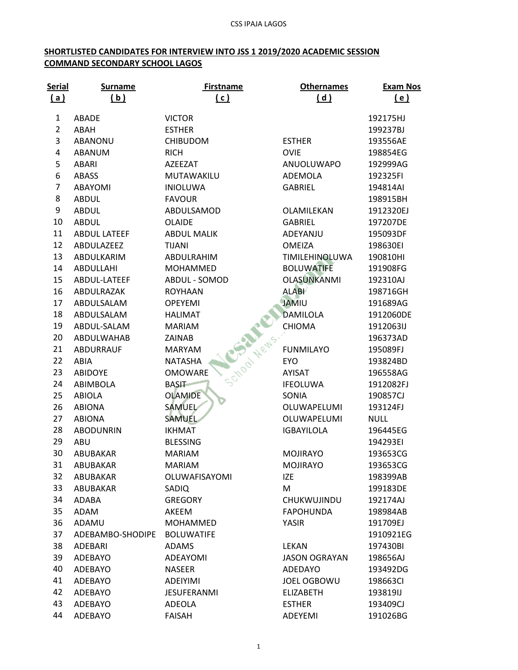## **SHORTLISTED CANDIDATES FOR INTERVIEW INTO JSS 1 2019/2020 ACADEMIC SESSION COMMAND SECONDARY SCHOOL LAGOS**

| <b>Serial</b>  | <b>Surname</b>      | <b>Firstname</b>               | <b>Othernames</b>    | <b>Exam Nos</b> |
|----------------|---------------------|--------------------------------|----------------------|-----------------|
| (a)            | (b)                 | (c)                            | (d)                  | (e)             |
| $\mathbf{1}$   | ABADE               | <b>VICTOR</b>                  |                      | 192175HJ        |
| $\overline{2}$ | ABAH                | <b>ESTHER</b>                  |                      | 199237BJ        |
| 3              | ABANONU             | <b>CHIBUDOM</b>                | <b>ESTHER</b>        | 193556AE        |
| 4              | ABANUM              | <b>RICH</b>                    | <b>OVIE</b>          | 198854EG        |
| 5              | <b>ABARI</b>        | AZEEZAT                        | ANUOLUWAPO           | 192999AG        |
| 6              | <b>ABASS</b>        | MUTAWAKILU                     | <b>ADEMOLA</b>       | 192325FI        |
| $\overline{7}$ | ABAYOMI             | <b>INIOLUWA</b>                | <b>GABRIEL</b>       | 194814AI        |
| 8              | <b>ABDUL</b>        | <b>FAVOUR</b>                  |                      | 198915BH        |
| 9              | <b>ABDUL</b>        | ABDULSAMOD                     | OLAMILEKAN           | 1912320EJ       |
| 10             | <b>ABDUL</b>        | <b>OLAIDE</b>                  | <b>GABRIEL</b>       | 197207DE        |
| 11             | <b>ABDUL LATEEF</b> | <b>ABDUL MALIK</b>             | ADEYANJU             | 195093DF        |
| 12             | ABDULAZEEZ          | <b>TIJANI</b>                  | <b>OMEIZA</b>        | 198630EI        |
| 13             | ABDULKARIM          | ABDULRAHIM                     | TIMILEHINOLUWA       | 190810HI        |
| 14             | <b>ABDULLAHI</b>    | <b>MOHAMMED</b>                | <b>BOLUWATIFE</b>    | 191908FG        |
| 15             | ABDUL-LATEEF        | ABDUL - SOMOD                  | <b>OLASUNKANMI</b>   | 192310AJ        |
| 16             | ABDULRAZAK          | <b>ROYHAAN</b>                 | <b>ALABI</b>         | 198716GH        |
| 17             | ABDULSALAM          | <b>OPEYEMI</b>                 | <b>JAMIU</b>         | 191689AG        |
| 18             | ABDULSALAM          | <b>HALIMAT</b>                 | <b>DAMILOLA</b>      | 1912060DE       |
| 19             | ABDUL-SALAM         | <b>MARIAM</b>                  | CHIOMA               | 1912063IJ       |
| 20             | ABDULWAHAB          | ZAINAB                         |                      | 196373AD        |
| 21             | <b>ABDURRAUF</b>    | <b>MARYAM</b>                  | <b>FUNMILAYO</b>     | 195089FJ        |
| 22             | ABIA                | School Wews.<br><b>NATASHA</b> | <b>EYO</b>           | 193824BD        |
| 23             | <b>ABIDOYE</b>      | <b>OMOWARE</b>                 | AYISAT               | 196558AG        |
| 24             | ABIMBOLA            | <b>BASIT</b>                   | <b>IFEOLUWA</b>      | 1912082FJ       |
| 25             | ABIOLA              | <b>OLAMIDE</b>                 | SONIA                | 190857CJ        |
| 26             | <b>ABIONA</b>       | SAMUEL                         | OLUWAPELUMI          | 193124FJ        |
| 27             | <b>ABIONA</b>       | SAMUEL                         | OLUWAPELUMI          | <b>NULL</b>     |
| 28             | <b>ABODUNRIN</b>    | <b>IKHMAT</b>                  | <b>IGBAYILOLA</b>    | 196445EG        |
| 29             | ABU                 | <b>BLESSING</b>                |                      | 194293EI        |
| 30             | ABUBAKAR            | <b>MARIAM</b>                  | <b>MOJIRAYO</b>      | 193653CG        |
| 31             | ABUBAKAR            | <b>MARIAM</b>                  | <b>MOJIRAYO</b>      | 193653CG        |
| 32             | ABUBAKAR            | OLUWAFISAYOMI                  | <b>IZE</b>           | 198399AB        |
| 33             | <b>ABUBAKAR</b>     | SADIQ                          | M                    | 199183DE        |
| 34             | ADABA               | <b>GREGORY</b>                 | CHUKWUJINDU          | 192174AJ        |
| 35             | ADAM                | AKEEM                          | <b>FAPOHUNDA</b>     | 198984AB        |
| 36             | ADAMU               | <b>MOHAMMED</b>                | <b>YASIR</b>         | 191709EJ        |
| 37             | ADEBAMBO-SHODIPE    | <b>BOLUWATIFE</b>              |                      | 1910921EG       |
| 38             | ADEBARI             | <b>ADAMS</b>                   | <b>LEKAN</b>         | 197430BI        |
| 39             | ADEBAYO             | <b>ADEAYOMI</b>                | <b>JASON OGRAYAN</b> | 198656AJ        |
| 40             | ADEBAYO             | <b>NASEER</b>                  | <b>ADEDAYO</b>       | 193492DG        |
| 41             | ADEBAYO             | <b>ADEIYIMI</b>                | <b>JOEL OGBOWU</b>   | 198663CI        |
| 42             | ADEBAYO             | <b>JESUFERANMI</b>             | <b>ELIZABETH</b>     | 193819IJ        |
| 43             | ADEBAYO             | ADEOLA                         | <b>ESTHER</b>        | 193409CJ        |
| 44             | ADEBAYO             | <b>FAISAH</b>                  | ADEYEMI              | 191026BG        |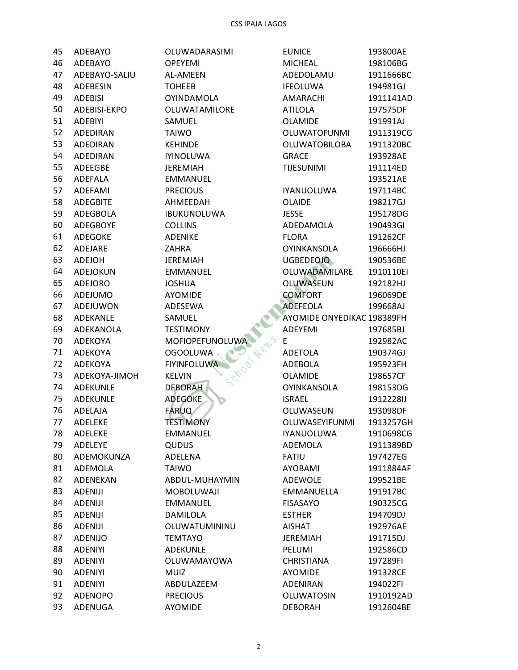| 45 | ADEBAYO         | OLUWADARASIMI        | <b>EUNICE</b>              | 193800AE  |
|----|-----------------|----------------------|----------------------------|-----------|
| 46 | ADEBAYO         | <b>OPEYEMI</b>       | <b>MICHEAL</b>             | 198106BG  |
| 47 | ADEBAYO-SALIU   | AL-AMEEN             | ADEDOLAMU                  | 1911666BC |
| 48 | ADEBESIN        | <b>TOHEEB</b>        | <b>IFEOLUWA</b>            | 194981GJ  |
| 49 | <b>ADEBISI</b>  | <b>OYINDAMOLA</b>    | AMARACHI                   | 1911141AD |
| 50 | ADEBISI-EKPO    | <b>OLUWATAMILORE</b> | <b>ATILOLA</b>             | 197575DF  |
| 51 | <b>ADEBIYI</b>  | SAMUEL               | <b>OLAMIDE</b>             | 191991AJ  |
| 52 | ADEDIRAN        | <b>TAIWO</b>         | <b>OLUWATOFUNMI</b>        | 1911319CG |
| 53 | ADEDIRAN        | <b>KEHINDE</b>       | OLUWATOBILOBA              | 1911320BC |
| 54 | ADEDIRAN        | <b>IYINOLUWA</b>     | <b>GRACE</b>               | 193928AE  |
| 55 | ADEEGBE         | <b>JEREMIAH</b>      | <b>TIJESUNIMI</b>          | 191114ED  |
| 56 | ADEFALA         | <b>EMMANUEL</b>      |                            | 193521AE  |
| 57 | ADEFAMI         | <b>PRECIOUS</b>      | <b>IYANUOLUWA</b>          | 197114BC  |
| 58 | <b>ADEGBITE</b> | AHMEEDAH             | OLAIDE                     | 198217GJ  |
| 59 | ADEGBOLA        | <b>IBUKUNOLUWA</b>   | <b>JESSE</b>               | 195178DG  |
| 60 | ADEGBOYE        | <b>COLLINS</b>       | ADEDAMOLA                  | 190493GI  |
| 61 | ADEGOKE         | <b>ADENIKE</b>       | <b>FLORA</b>               | 191262CF  |
| 62 | ADEJARE         | <b>ZAHRA</b>         | <b>OYINKANSOLA</b>         | 196666HJ  |
| 63 | ADEJOH          | <b>JEREMIAH</b>      | <b>UGBEDEOJO</b>           | 190536BE  |
| 64 | ADEJOKUN        | <b>EMMANUEL</b>      | OLUWADAMILARE              | 1910110EI |
| 65 | <b>ADEJORO</b>  | <b>JOSHUA</b>        | <b>OLUWASEUN</b>           | 192182HJ  |
| 66 | ADEJUMO         | <b>AYOMIDE</b>       | <b>COMFORT</b>             | 196069DE  |
| 67 | ADEJUWON        | ADESEWA              | <b>ADEFEOLA</b>            | 199668AJ  |
| 68 | ADEKANLE        | SAMUEL               | AYOMIDE ONYEDIKAC 198389FH |           |
| 69 | ADEKANOLA       | <b>TESTIMONY</b>     | ADEYEMI                    | 197685BJ  |
| 70 | ADEKOYA         | MOFIOPEFUNOLUWA      | E                          | 192982AC  |
| 71 | ADEKOYA         | <b>OGOOLUWA</b>      | <b>ADETOLA</b>             | 190374GJ  |
| 72 | ADEKOYA         | <b>FIYINFOLUWA</b>   | ADEBOLA                    | 195923FH  |
| 73 | ADEKOYA-JIMOH   | <b>KELVIN</b>        | <b>OLAMIDE</b>             | 198657CF  |
| 74 | ADEKUNLE        | <b>DEBORAH</b>       | <b>OYINKANSOLA</b>         | 198153DG  |
| 75 | ADEKUNLE        | <b>ADEGOKE</b>       | <b>ISRAEL</b>              | 1912228IJ |
| 76 | ADELAJA         | <b>FARUQ</b>         | OLUWASEUN                  | 193098DF  |
| 77 | <b>ADELEKE</b>  | <b>TESTIMONY</b>     | OLUWASEYIFUNMI             | 1913257GH |
| 78 | ADELEKE         | <b>EMMANUEL</b>      | <b>IYANUOLUWA</b>          | 1910698CG |
| 79 | ADELEYE         | <b>QUDUS</b>         | ADEMOLA                    | 1911389BD |
| 80 | ADEMOKUNZA      | ADELENA              | <b>FATIU</b>               | 197427EG  |
| 81 | ADEMOLA         | <b>TAIWO</b>         | <b>AYOBAMI</b>             | 1911884AF |
| 82 | ADENEKAN        | ABDUL-MUHAYMIN       | ADEWOLE                    | 199521BE  |
| 83 | <b>ADENIJI</b>  | MOBOLUWAJI           | <b>EMMANUELLA</b>          | 191917BC  |
| 84 | <b>ADENIJI</b>  | <b>EMMANUEL</b>      | <b>FISASAYO</b>            | 190325CG  |
| 85 | <b>ADENIJI</b>  | DAMILOLA             | <b>ESTHER</b>              | 194709DJ  |
| 86 | <b>ADENIJI</b>  | OLUWATUMININU        | <b>AISHAT</b>              | 192976AE  |
| 87 | ADENIJO         | <b>TEMTAYO</b>       | <b>JEREMIAH</b>            | 191715DJ  |
| 88 | <b>ADENIYI</b>  | <b>ADEKUNLE</b>      | PELUMI                     | 192586CD  |
| 89 | <b>ADENIYI</b>  | OLUWAMAYOWA          | <b>CHRISTIANA</b>          | 197289FI  |
| 90 | <b>ADENIYI</b>  | <b>MUIZ</b>          | <b>AYOMIDE</b>             | 191328CE  |
|    |                 |                      | <b>ADENIRAN</b>            |           |
| 91 | <b>ADENIYI</b>  | ABDULAZEEM           |                            | 194022FI  |
| 92 | <b>ADENOPO</b>  | <b>PRECIOUS</b>      | <b>OLUWATOSIN</b>          | 1910192AD |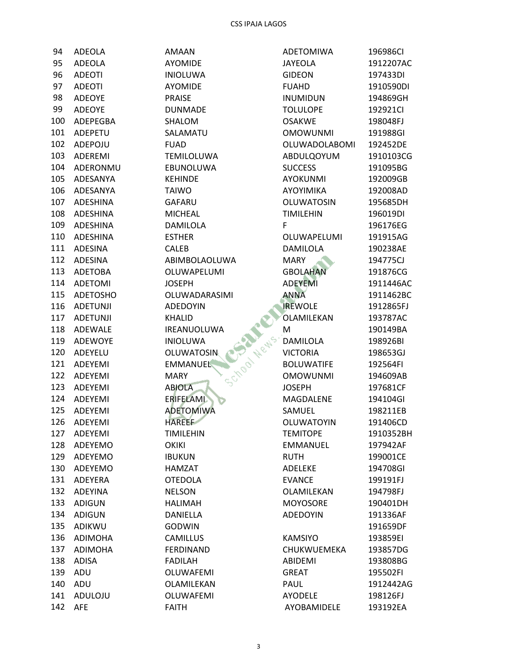| 94      | ADEOLA         | AMAAN                     |
|---------|----------------|---------------------------|
| 95      | <b>ADEOLA</b>  | <b>AYOMIDE</b>            |
| 96      | <b>ADEOTI</b>  | <b>INIOLUWA</b>           |
| 97      | <b>ADEOTI</b>  | <b>AYOMIDE</b>            |
| 98      | <b>ADEOYE</b>  | <b>PRAISE</b>             |
| 99      | <b>ADEOYE</b>  | <b>DUNMADE</b>            |
| 100     | ADEPEGBA       | <b>SHALOM</b>             |
|         | 101 ADEPETU    | SALAMATU                  |
|         | 102 ADEPOJU    | <b>FUAD</b>               |
|         | 103 ADEREMI    | <b>TEMILOLUWA</b>         |
|         | 104 ADERONMU   | <b>EBUNOLUWA</b>          |
|         | 105 ADESANYA   | <b>KEHINDE</b>            |
|         | 106 ADESANYA   | <b>TAIWO</b>              |
|         | 107 ADESHINA   | GAFARU                    |
|         | 108 ADESHINA   | <b>MICHEAL</b>            |
|         | 109 ADESHINA   | DAMILOLA                  |
|         | 110 ADESHINA   | <b>ESTHER</b>             |
|         | 111 ADESINA    | <b>CALEB</b>              |
|         | 112 ADESINA    | ABIMBOLAOLUWA             |
|         | 113 ADETOBA    | OLUWAPELUMI               |
|         | 114 ADETOMI    | JOSEPH                    |
|         | 115 ADETOSHO   | OLUWADARASIMI             |
|         | 116 ADETUNJI   | <b>ADEDOYIN</b>           |
|         | 117 ADETUNJI   | <b>KHALID</b>             |
| 118     | <b>ADEWALE</b> | IREANUOLUWA               |
| 119     | <b>ADEWOYE</b> | <b>INIOLUWA</b>           |
|         | 120 ADEYELU    | OLUWATOSIN                |
| 121     | ADEYEMI        | School<br><b>EMMANUEL</b> |
|         | 122 ADEYEMI    | <b>MARY</b>               |
|         | 123 ADEYEMI    | <b>ABIOLA</b>             |
|         | 124 ADEYEMI    | ERIFELAMI                 |
|         | 125 ADEYEMI    | <b>ADETOMIWA</b>          |
| 126     | <b>ADEYEMI</b> | <b>HAREEF</b>             |
|         | 127 ADEYEMI    | <b>TIMILEHIN</b>          |
| 128     | ADEYEMO        | OKIKI                     |
| 129     | ADEYEMO        | <b>IBUKUN</b>             |
| 130     | ADEYEMO        | HAMZAT                    |
| 131     | <b>ADEYERA</b> | <b>OTEDOLA</b>            |
| 132     | <b>ADEYINA</b> | <b>NELSON</b>             |
| 133     | <b>ADIGUN</b>  | <b>HALIMAH</b>            |
| 134     | ADIGUN         | DANIELLA                  |
| 135     | ADIKWU         | <b>GODWIN</b>             |
| 136     | ADIMOHA        | <b>CAMILLUS</b>           |
| 137     | <b>ADIMOHA</b> | <b>FERDINAND</b>          |
| 138     | <b>ADISA</b>   | FADILAH                   |
| 139     | ADU            | OLUWAFEMI                 |
| 140     | ADU            | OLAMILEKAN                |
| 141     | ADULOJU        | <b>OLUWAFEMI</b>          |
| 142 AFE |                | <b>FAITH</b>              |
|         |                |                           |

| <b>ADETOMIWA</b>  | 196986CI  |
|-------------------|-----------|
| <b>JAYEOLA</b>    | 1912207AC |
| <b>GIDEON</b>     | 197433DI  |
| <b>FUAHD</b>      | 1910590DI |
| <b>INUMIDUN</b>   | 194869GH  |
| <b>TOLULOPE</b>   | 192921Cl  |
| <b>OSAKWE</b>     | 198048FJ  |
| <b>OMOWUNMI</b>   | 191988GI  |
| OLUWADOLABOMI     | 192452DE  |
| ABDULQOYUM        | 1910103CG |
| <b>SUCCESS</b>    | 191095BG  |
| AYOKUNMI          | 192009GB  |
| AYOYIMIKA         | 192008AD  |
| OLUWATOSIN        | 195685DH  |
| <b>TIMILEHIN</b>  | 196019DI  |
| F.                | 196176EG  |
| OLUWAPELUMI       | 191915AG  |
| <b>DAMILOLA</b>   | 190238AE  |
| <b>MARY</b>       | 194775CJ  |
| <b>GBOLAHAN</b>   | 191876CG  |
| <b>ADEYEMI</b>    | 1911446AC |
| ANNA              | 1911462BC |
| <b>IREWOLE</b>    | 1912865FJ |
| OLAMILEKAN        | 193787AC  |
| M                 | 190149BA  |
| <b>DAMILOLA</b>   | 198926BI  |
| <b>VICTORIA</b>   | 198653GJ  |
| <b>BOLUWATIFE</b> | 192564FI  |
| <b>OMOWUNMI</b>   | 194609AB  |
| <b>JOSEPH</b>     | 197681CF  |
| MAGDALENE         | 194104GI  |
| SAMUEL            | 198211EB  |
| OLUWATOYIN        | 191406CD  |
| <b>TEMITOPE</b>   | 1910352BH |
| <b>EMMANUEL</b>   | 197942AF  |
| <b>RUTH</b>       | 199001CE  |
| ADELEKE           | 194708GI  |
| <b>EVANCE</b>     | 199191FJ  |
| OLAMILEKAN        | 194798FJ  |
| <b>MOYOSORE</b>   | 190401DH  |
| <b>ADEDOYIN</b>   | 191336AF  |
|                   | 191659DF  |
| <b>KAMSIYO</b>    | 193859EI  |
| CHUKWUEMEKA       | 193857DG  |
| <b>ABIDEMI</b>    | 193808BG  |
| <b>GREAT</b>      |           |
|                   | 195502FI  |
| PAUL              | 1912442AG |
| <b>AYODELE</b>    | 198126FJ  |
| AYOBAMIDELE       | 193192EA  |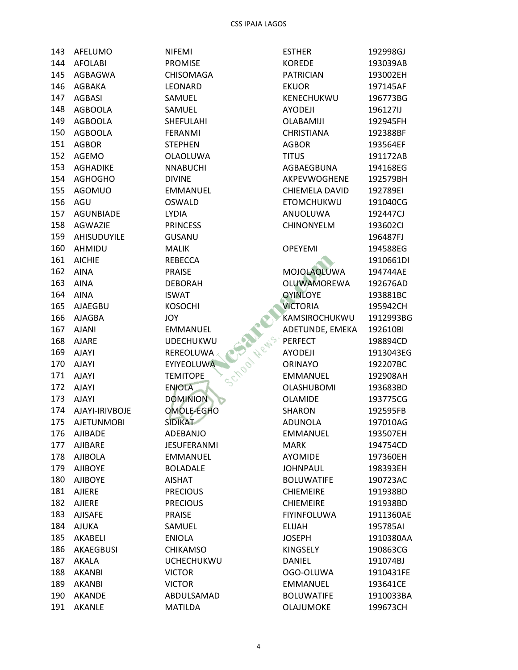| 143 | AFELUMO            |
|-----|--------------------|
|     | 144 AFOLABI        |
|     | 145 AGBAGWA        |
|     | 146 AGBAKA         |
|     | 147 AGBASI         |
|     | 148 AGBOOLA        |
|     | 149 AGBOOLA        |
|     | 150 AGBOOLA        |
| 151 | AGBOR              |
|     | 152 AGEMO          |
|     | 153 AGHADIKE       |
|     | 154 AGHOGHO        |
|     | 155 AGOMUO         |
|     | 156 AGU            |
|     | 157 AGUNBIADE      |
|     | 158 AGWAZIE        |
|     | 159 AHISUDUYILE    |
|     | 160 AHMIDU         |
|     | 161 AICHIE         |
|     | 162 AINA           |
|     | 163 AINA           |
|     | 164 AINA           |
|     | 165 AJAEGBU        |
|     | 166 AJAGBA         |
|     | 167 AJANI          |
|     | 168 AJARE          |
|     | 169 AJAYI          |
|     | 170 AJAYI          |
|     | 171 AJAYI          |
| 172 | <b>AJAYI</b>       |
|     | 173 AJAYI          |
|     | 174 AJAYI-IRIVBOJE |
|     | 175 AJETUNMOBI     |
| 176 | <b>AJIBADE</b>     |
|     | 177 AJIBARE        |
| 178 | AJIBOLA            |
| 179 | <b>AJIBOYE</b>     |
| 180 | <b>AJIBOYE</b>     |
| 181 | <b>AJIERE</b>      |
| 182 | <b>AJIERE</b>      |
| 183 | <b>AJISAFE</b>     |
| 184 | AJUKA              |
|     | 185 AKABELI        |
| 186 | AKAEGBUSI          |
| 187 | AKALA              |
|     | 188 AKANBI         |
|     | 189 AKANBI         |
| 190 | AKANDE             |
| 191 | <b>AKANIF</b>      |

**NIFEMI** PROMISE CHISOMAGA LEONARD SAMUEL SAMUEL SHEFULAHI FERANMI **STEPHEN** OLAOLUWA **NNABUCHI DIVINE** EMMANUEL OSWALD **LYDIA PRINCESS GUSANU MALIK REBECCA PRAISE DEBORAH ISWAT KOSOCHI JOY** EMMANUEL **UDECHUKWU REREOLUWA** EYIYEOLUWA **TEMITOPE ENIOLA DOMINION OMOLE-EGHO SIDIKAT** ADEBANJO JESUFERANMI **EMMANUEL BOLADALE AISHAT PRECIOUS PRECIOUS PRAISE** SAMUEL **ENIOLA CHIKAMSO UCHECHUKWU VICTOR VICTOR** ABDULSAMAD

**MATILDA** 

|          | <b>ESTHER</b>      | 192998GJ  |
|----------|--------------------|-----------|
|          | <b>KOREDE</b>      | 193039AB  |
|          | <b>PATRICIAN</b>   | 193002EH  |
|          | <b>EKUOR</b>       | 197145AF  |
|          | KENECHUKWU         | 196773BG  |
|          | <b>AYODEJI</b>     | 196127IJ  |
|          | OLABAMIJI          | 192945FH  |
|          | <b>CHRISTIANA</b>  | 192388BF  |
|          | <b>AGBOR</b>       | 193564EF  |
|          | <b>TITUS</b>       | 191172AB  |
|          | AGBAEGBUNA         | 194168EG  |
|          | AKPEVWOGHENE       | 192579BH  |
|          | CHIEMELA DAVID     | 192789EI  |
|          | <b>ETOMCHUKWU</b>  | 191040CG  |
|          | ANUOLUWA           | 192447CJ  |
|          | <b>CHINONYELM</b>  | 193602Cl  |
|          |                    | 196487FJ  |
|          | <b>OPEYEMI</b>     | 194588EG  |
|          |                    | 1910661DI |
|          | MOJOLAOLUWA        | 194744AE  |
|          | <b>OLUWAMOREWA</b> | 192676AD  |
|          | <b>OYINLOYE</b>    | 193881BC  |
|          | <b>VICTORIA</b>    | 195942CH  |
|          | KAMSIROCHUKWU      | 1912993BG |
|          | ADETUNDE, EMEKA    | 192610BI  |
| Chool Ne | <b>PERFECT</b>     | 198894CD  |
|          | <b>AYODEJI</b>     | 1913043EG |
|          | <b>ORINAYO</b>     | 192207BC  |
|          | <b>EMMANUEL</b>    | 192908AH  |
|          | <b>OLASHUBOMI</b>  | 193683BD  |
|          | <b>OLAMIDE</b>     | 193775CG  |
|          | <b>SHARON</b>      | 192595FB  |
|          | ADUNOLA            | 197010AG  |
|          | <b>EMMANUEL</b>    | 193507EH  |
| ı        | <b>MARK</b>        | 194754CD  |
|          | <b>AYOMIDE</b>     | 197360EH  |
|          | <b>JOHNPAUL</b>    | 198393EH  |
|          | <b>BOLUWATIFE</b>  | 190723AC  |
|          | <b>CHIEMEIRE</b>   | 191938BD  |
|          | <b>CHIEMEIRE</b>   | 191938BD  |
|          | <b>FIYINFOLUWA</b> | 1911360AE |
|          | <b>ELIJAH</b>      | 195785AI  |
|          | <b>JOSEPH</b>      | 1910380AA |
|          | <b>KINGSELY</b>    | 190863CG  |
| ับ       | DANIEL             | 191074BJ  |
|          | OGO-OLUWA          | 1910431FE |
|          | <b>EMMANUEL</b>    | 193641CE  |
| C        | <b>BOLUWATIFE</b>  | 1910033BA |
|          | OLAJUMOKE          | 199673CH  |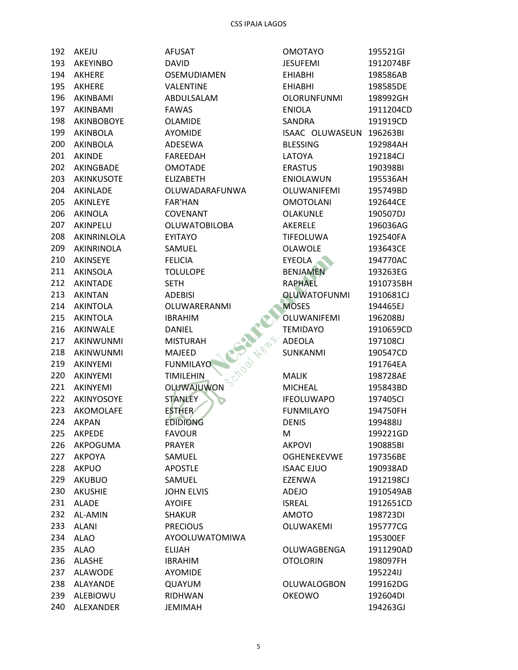| 192 | AKEJU                     | <b>AFUSAT</b>                    | <b>OMOTAYO</b>      | 195521GI             |
|-----|---------------------------|----------------------------------|---------------------|----------------------|
| 193 | AKEYINBO                  | <b>DAVID</b>                     | <b>JESUFEMI</b>     | 1912074BF            |
| 194 | <b>AKHERE</b>             | <b>OSEMUDIAMEN</b>               | <b>EHIABHI</b>      | 198586AB             |
| 195 | <b>AKHERE</b>             | VALENTINE                        | <b>EHIABHI</b>      | 198585DE             |
| 196 | AKINBAMI                  | ABDULSALAM                       | <b>OLORUNFUNMI</b>  | 198992GH             |
| 197 | AKINBAMI                  | <b>FAWAS</b>                     | <b>ENIOLA</b>       | 1911204CD            |
| 198 | AKINBOBOYE                | <b>OLAMIDE</b>                   | SANDRA              | 191919CD             |
| 199 | AKINBOLA                  | <b>AYOMIDE</b>                   | ISAAC OLUWASEUN     | 196263BI             |
| 200 | AKINBOLA                  | ADESEWA                          | <b>BLESSING</b>     | 192984AH             |
| 201 | <b>AKINDE</b>             | <b>FAREEDAH</b>                  | LATOYA              | 192184CJ             |
| 202 | AKINGBADE                 | <b>OMOTADE</b>                   | <b>ERASTUS</b>      | 190398BI             |
| 203 | AKINKUSOTE                | <b>ELIZABETH</b>                 | ENIOLAWUN           | 195536AH             |
| 204 | AKINLADE                  | OLUWADARAFUNWA                   | OLUWANIFEMI         | 195749BD             |
| 205 | AKINLEYE                  | <b>FAR'HAN</b>                   | <b>OMOTOLANI</b>    | 192644CE             |
| 206 | AKINOLA                   | <b>COVENANT</b>                  | OLAKUNLE            | 190507DJ             |
| 207 | AKINPELU                  | OLUWATOBILOBA                    | AKERELE             | 196036AG             |
| 208 | AKINRINLOLA               | <b>EYITAYO</b>                   | TIFEOLUWA           | 192540FA             |
| 209 | AKINRINOLA                | SAMUEL                           | <b>OLAWOLE</b>      | 193643CE             |
| 210 | AKINSEYE                  | <b>FELICIA</b>                   | EYEOLA              | 194770AC             |
| 211 | AKINSOLA                  | <b>TOLULOPE</b>                  | <b>BENJAMEN</b>     | 193263EG             |
| 212 | AKINTADE                  | <b>SETH</b>                      | <b>RAPHAEL</b>      | 1910735BH            |
| 213 | <b>AKINTAN</b>            | <b>ADEBISI</b>                   | <b>OLUWATOFUNMI</b> | 1910681CJ            |
| 214 | <b>AKINTOLA</b>           | OLUWARERANMI                     | <b>MOSES</b>        | 194465EJ             |
| 215 | <b>AKINTOLA</b>           | <b>IBRAHIM</b>                   | OLUWANIFEMI         | 196208BJ             |
| 216 | AKINWALE                  | <b>DANIEL</b>                    | <b>TEMIDAYO</b>     | 1910659CD            |
| 217 | AKINWUNMI                 | <b>MISTURAH</b>                  | ADEOLA              | 197108CJ             |
| 218 | AKINWUNMI                 | School News.<br>MAJEED           | SUNKANMI            | 190547CD             |
| 219 | AKINYEMI                  | <b>FUNMILAYO</b>                 |                     | 191764EA             |
| 220 | AKINYEMI                  | <b>TIMILEHIN</b>                 | <b>MALIK</b>        | 198728AE             |
| 221 | AKINYEMI                  | OLUWAJUWON                       | <b>MICHEAL</b>      | 195843BD             |
| 222 | AKINYOSOYE                |                                  | <b>IFEOLUWAPO</b>   |                      |
| 223 | AKOMOLAFE                 | <b>STANLEY</b>                   | <b>FUNMILAYO</b>    | 197405CI             |
| 224 | <b>AKPAN</b>              | <b>ESTHER</b><br><b>EDIDIONG</b> | <b>DENIS</b>        | 194750FH<br>199488IJ |
| 225 |                           |                                  |                     |                      |
| 226 | <b>AKPEDE</b><br>AKPOGUMA | <b>FAVOUR</b><br><b>PRAYER</b>   | M<br><b>AKPOVI</b>  | 199221GD             |
| 227 | <b>AKPOYA</b>             |                                  |                     | 190885BI             |
|     |                           | SAMUEL                           | <b>OGHENEKEVWE</b>  | 197356BE             |
| 228 | <b>AKPUO</b>              | <b>APOSTLE</b>                   | <b>ISAAC EJUO</b>   | 190938AD             |
| 229 | <b>AKUBUO</b>             | SAMUEL                           | <b>EZENWA</b>       | 1912198CJ            |
| 230 | <b>AKUSHIE</b>            | <b>JOHN ELVIS</b>                | ADEJO               | 1910549AB            |
| 231 | <b>ALADE</b>              | <b>AYOIFE</b>                    | <b>ISREAL</b>       | 1912651CD            |
| 232 | AL-AMIN                   | <b>SHAKUR</b>                    | <b>AMOTO</b>        | 198723DI             |
| 233 | <b>ALANI</b>              | <b>PRECIOUS</b>                  | OLUWAKEMI           | 195777CG             |
| 234 | <b>ALAO</b>               | AYOOLUWATOMIWA                   |                     | 195300EF             |
| 235 | <b>ALAO</b>               | <b>ELIJAH</b>                    | OLUWAGBENGA         | 1911290AD            |
| 236 | <b>ALASHE</b>             | <b>IBRAHIM</b>                   | <b>OTOLORIN</b>     | 198097FH             |
| 237 | <b>ALAWODE</b>            | <b>AYOMIDE</b>                   |                     | 195224IJ             |
| 238 | ALAYANDE                  | QUAYUM                           | OLUWALOGBON         | 199162DG             |
| 239 | ALEBIOWU                  | RIDHWAN                          | <b>OKEOWO</b>       | 192604DI             |
| 240 | ALEXANDER                 | <b>JEMIMAH</b>                   |                     | 194263GJ             |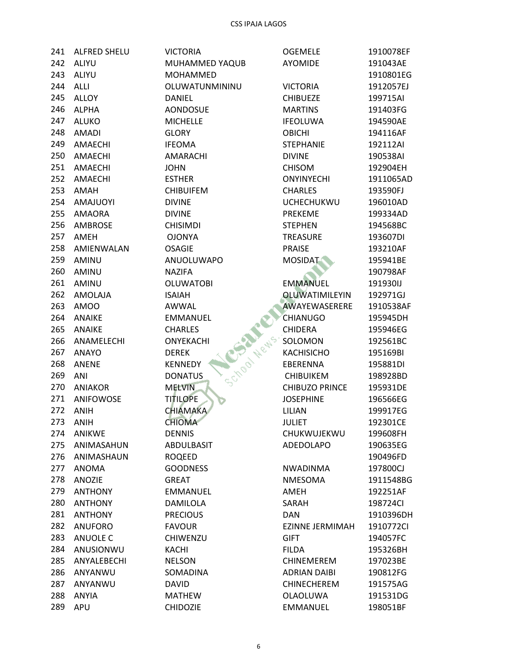| 241 | ALFRED SHELU    | <b>VICTORIA</b>          | <b>OGEMELE</b>         | 1910078EF |
|-----|-----------------|--------------------------|------------------------|-----------|
| 242 | ALIYU           | MUHAMMED YAQUB           | <b>AYOMIDE</b>         | 191043AE  |
| 243 | ALIYU           | MOHAMMED                 |                        | 1910801EG |
| 244 | <b>ALLI</b>     | OLUWATUNMININU           | <b>VICTORIA</b>        | 1912057EJ |
| 245 | <b>ALLOY</b>    | <b>DANIEL</b>            | <b>CHIBUEZE</b>        | 199715AI  |
| 246 | <b>ALPHA</b>    | <b>AONDOSUE</b>          | <b>MARTINS</b>         | 191403FG  |
| 247 | <b>ALUKO</b>    | <b>MICHELLE</b>          | <b>IFEOLUWA</b>        | 194590AE  |
| 248 | <b>AMADI</b>    | <b>GLORY</b>             | <b>OBICHI</b>          | 194116AF  |
| 249 | AMAECHI         | <b>IFEOMA</b>            | <b>STEPHANIE</b>       | 192112AI  |
| 250 | AMAECHI         | AMARACHI                 | <b>DIVINE</b>          | 190538AI  |
| 251 | AMAECHI         | <b>JOHN</b>              | <b>CHISOM</b>          | 192904EH  |
| 252 | AMAECHI         | <b>ESTHER</b>            | <b>ONYINYECHI</b>      | 1911065AD |
| 253 | AMAH            | <b>CHIBUIFEM</b>         | <b>CHARLES</b>         | 193590FJ  |
| 254 | <b>AMAJUOYI</b> | <b>DIVINE</b>            | <b>UCHECHUKWU</b>      | 196010AD  |
| 255 | <b>AMAORA</b>   | <b>DIVINE</b>            | PREKEME                | 199334AD  |
| 256 | AMBROSE         | <b>CHISIMDI</b>          | <b>STEPHEN</b>         | 194568BC  |
| 257 | AMEH            | <b>OJONYA</b>            | <b>TREASURE</b>        | 193607DI  |
| 258 | AMIENWALAN      | <b>OSAGIE</b>            | <b>PRAISE</b>          | 193210AF  |
| 259 | AMINU           | ANUOLUWAPO               | <b>MOSIDAT</b>         | 195941BE  |
| 260 | AMINU           | <b>NAZIFA</b>            |                        | 190798AF  |
| 261 | AMINU           | <b>OLUWATOBI</b>         | <b>EMMANUEL</b>        | 191930IJ  |
| 262 | AMOLAJA         | <b>ISAIAH</b>            | <b>OLUWATIMILEYIN</b>  | 192971GJ  |
| 263 | AMOO            | AWWAL                    | AWAYEWASERERE          | 1910538AF |
| 264 | <b>ANAIKE</b>   | <b>EMMANUEL</b>          | <b>CHIANUGO</b>        | 195945DH  |
| 265 | <b>ANAIKE</b>   | <b>CHARLES</b>           | <b>CHIDERA</b>         | 195946EG  |
| 266 | ANAMELECHI      | School Wews<br>ONYEKACHI | SOLOMON                | 192561BC  |
| 267 | <b>ANAYO</b>    | <b>DEREK</b>             | <b>KACHISICHO</b>      | 195169BI  |
| 268 | <b>ANENE</b>    | <b>KENNEDY</b>           | EBERENNA               | 195881DI  |
| 269 | ANI             | <b>DONATUS</b>           | <b>CHIBUIKEM</b>       | 198928BD  |
| 270 | <b>ANIAKOR</b>  | <b>MELVIN</b>            | <b>CHIBUZO PRINCE</b>  | 195931DE  |
| 271 | ANIFOWOSE       | <b>TITILOPE</b>          | <b>JOSEPHINE</b>       | 196566EG  |
| 272 | <b>ANIH</b>     | <b>CHIAMAKA</b>          | LILIAN                 | 199917EG  |
| 273 | <b>ANIH</b>     | <b>CHIOMA</b>            | <b>JULIET</b>          | 192301CE  |
| 274 | <b>ANIKWE</b>   | <b>DENNIS</b>            | CHUKWUJEKWU            | 199608FH  |
| 275 | ANIMASAHUN      | ABDULBASIT               | ADEDOLAPO              | 190635EG  |
| 276 | ANIMASHAUN      | <b>ROQEED</b>            |                        | 190496FD  |
| 277 | ANOMA           | <b>GOODNESS</b>          | <b>NWADINMA</b>        | 197800CJ  |
| 278 | <b>ANOZIE</b>   | <b>GREAT</b>             | NMESOMA                | 1911548BG |
| 279 | <b>ANTHONY</b>  | <b>EMMANUEL</b>          | AMEH                   | 192251AF  |
| 280 | <b>ANTHONY</b>  | <b>DAMILOLA</b>          | SARAH                  | 198724Cl  |
| 281 | <b>ANTHONY</b>  | <b>PRECIOUS</b>          | <b>DAN</b>             | 1910396DH |
| 282 | <b>ANUFORO</b>  | <b>FAVOUR</b>            | <b>EZINNE JERMIMAH</b> | 1910772Cl |
| 283 | ANUOLE C        | <b>CHIWENZU</b>          | <b>GIFT</b>            | 194057FC  |
| 284 | ANUSIONWU       | <b>KACHI</b>             | <b>FILDA</b>           | 195326BH  |
| 285 | ANYALEBECHI     | <b>NELSON</b>            | CHINEMEREM             | 197023BE  |
| 286 | ANYANWU         | SOMADINA                 | <b>ADRIAN DAIBI</b>    | 190812FG  |
| 287 | ANYANWU         | <b>DAVID</b>             | <b>CHINECHEREM</b>     | 191575AG  |
| 288 | <b>ANYIA</b>    | <b>MATHEW</b>            | <b>OLAOLUWA</b>        | 191531DG  |
| 289 | <b>APU</b>      | <b>CHIDOZIE</b>          | <b>EMMANUEL</b>        | 198051BF  |
|     |                 |                          |                        |           |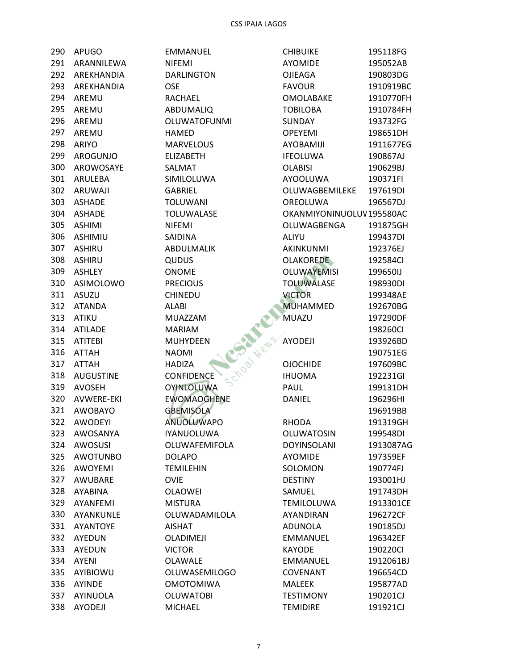| 290 | <b>APUGO</b>      | EMMANUEL                        | <b>CHIBUIKE</b>          | 195118FG  |
|-----|-------------------|---------------------------------|--------------------------|-----------|
| 291 | ARANNILEWA        | <b>NIFEMI</b>                   | <b>AYOMIDE</b>           | 195052AB  |
| 292 | AREKHANDIA        | <b>DARLINGTON</b>               | OJIEAGA                  | 190803DG  |
| 293 | AREKHANDIA        | <b>OSE</b>                      | <b>FAVOUR</b>            | 1910919BC |
| 294 | AREMU             | RACHAEL                         | <b>OMOLABAKE</b>         | 1910770FH |
| 295 | AREMU             | ABDUMALIQ                       | <b>TOBILOBA</b>          | 1910784FH |
| 296 | AREMU             | <b>OLUWATOFUNMI</b>             | <b>SUNDAY</b>            | 193732FG  |
| 297 | AREMU             | <b>HAMED</b>                    | <b>OPEYEMI</b>           | 198651DH  |
| 298 | <b>ARIYO</b>      | <b>MARVELOUS</b>                | AYOBAMIJI                | 1911677EG |
| 299 | AROGUNJO          | <b>ELIZABETH</b>                | <b>IFEOLUWA</b>          | 190867AJ  |
| 300 | AROWOSAYE         | SALMAT                          | <b>OLABISI</b>           | 190629BJ  |
| 301 | ARULEBA           | SIMILOLUWA                      | AYOOLUWA                 | 190371FI  |
| 302 | ARUWAJI           | <b>GABRIEL</b>                  | OLUWAGBEMILEKE           | 197619DI  |
| 303 | <b>ASHADE</b>     | <b>TOLUWANI</b>                 | OREOLUWA                 | 196567DJ  |
| 304 | <b>ASHADE</b>     | TOLUWALASE                      | OKANMIYONINUOLUV195580AC |           |
| 305 | <b>ASHIMI</b>     | <b>NIFEMI</b>                   | OLUWAGBENGA              | 191875GH  |
| 306 | <b>ASHIMIU</b>    | <b>SAIDINA</b>                  | ALIYU                    | 199437DI  |
| 307 | <b>ASHIRU</b>     | ABDULMALIK                      | AKINKUNMI                | 192376EJ  |
| 308 | <b>ASHIRU</b>     | <b>QUDUS</b>                    | <b>OLAKOREDE</b>         | 192584Cl  |
| 309 | ASHLEY            | <b>ONOME</b>                    | <b>OLUWAYEMISI</b>       | 199650IJ  |
| 310 | ASIMOLOWO         | <b>PRECIOUS</b>                 | <b>TOLUWALASE</b>        | 198930DI  |
| 311 | ASUZU             | <b>CHINEDU</b>                  | <b>VICTOR</b>            | 199348AE  |
| 312 | <b>ATANDA</b>     | <b>ALABI</b>                    | <b>MUHAMMED</b>          | 192670BG  |
| 313 | ATIKU             | <b>MUAZZAM</b>                  | MUAZU                    | 197290DF  |
| 314 | <b>ATILADE</b>    | <b>MARIAM</b>                   |                          | 198260Cl  |
| 315 | <b>ATITEBI</b>    | School News.<br><b>MUHYDEEN</b> | <b>AYODEJI</b>           | 193926BD  |
| 316 | <b>ATTAH</b>      | <b>NAOMI</b>                    |                          | 190751EG  |
| 317 | <b>ATTAH</b>      | <b>HADIZA</b>                   | <b>OJOCHIDE</b>          | 197609BC  |
| 318 | <b>AUGUSTINE</b>  | <b>CONFIDENCE</b>               | <b>IHUOMA</b>            | 192231GI  |
| 319 | <b>AVOSEH</b>     | <b>OYINLOLUWA</b>               | PAUL                     | 199131DH  |
| 320 | <b>AVWERE-EKI</b> | <b>EWOMAOGHENE</b>              | DANIEL                   | 196296HI  |
| 321 | <b>AWOBAYO</b>    | <b>GBEMISOLA</b>                |                          | 196919BB  |
| 322 | <b>AWODEYI</b>    | <b>ANUOLUWAPO</b>               | <b>RHODA</b>             | 191319GH  |
| 323 | AWOSANYA          | <b>IYANUOLUWA</b>               | <b>OLUWATOSIN</b>        | 199548DI  |
| 324 | AWOSUSI           | OLUWAFEMIFOLA                   | <b>DOYINSOLANI</b>       | 1913087AG |
| 325 | <b>AWOTUNBO</b>   | <b>DOLAPO</b>                   | <b>AYOMIDE</b>           | 197359EF  |
| 326 | AWOYEMI           | <b>TEMILEHIN</b>                | SOLOMON                  | 190774FJ  |
| 327 | AWUBARE           | <b>OVIE</b>                     | <b>DESTINY</b>           | 193001HJ  |
| 328 | AYABINA           | <b>OLAOWEI</b>                  | SAMUEL                   | 191743DH  |
| 329 | AYANFEMI          | <b>MISTURA</b>                  | <b>TEMILOLUWA</b>        | 1913301CE |
| 330 | AYANKUNLE         | OLUWADAMILOLA                   | AYANDIRAN                | 196272CF  |
| 331 | <b>AYANTOYE</b>   | <b>AISHAT</b>                   | <b>ADUNOLA</b>           | 190185DJ  |
| 332 | AYEDUN            | OLADIMEJI                       | <b>EMMANUEL</b>          | 196342EF  |
| 333 | AYEDUN            | <b>VICTOR</b>                   | <b>KAYODE</b>            | 190220Cl  |
| 334 | AYENI             | OLAWALE                         | <b>EMMANUEL</b>          | 1912061BJ |
| 335 | AYIBIOWU          | <b>OLUWASEMILOGO</b>            | COVENANT                 | 196654CD  |
| 336 | <b>AYINDE</b>     | <b>OMOTOMIWA</b>                | <b>MALEEK</b>            | 195877AD  |
| 337 | AYINUOLA          | <b>OLUWATOBI</b>                | <b>TESTIMONY</b>         | 190201CJ  |
| 338 | <b>AYODEJI</b>    | <b>MICHAEL</b>                  | <b>TEMIDIRE</b>          | 191921CJ  |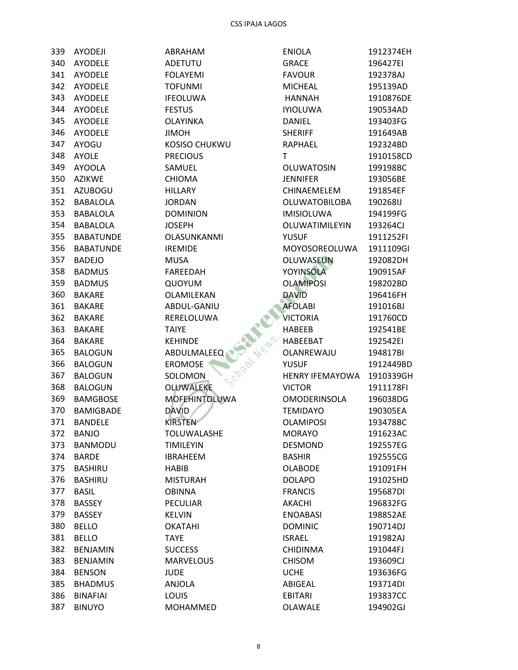| 339 | <b>AYODEJI</b>   | ABRAHAM                     | <b>ENIOLA</b>          | 1912374EH |
|-----|------------------|-----------------------------|------------------------|-----------|
| 340 | <b>AYODELE</b>   | <b>ADETUTU</b>              | <b>GRACE</b>           | 196427EI  |
| 341 | <b>AYODELE</b>   | <b>FOLAYEMI</b>             | <b>FAVOUR</b>          | 192378AJ  |
| 342 | <b>AYODELE</b>   | <b>TOFUNMI</b>              | <b>MICHEAL</b>         | 195139AD  |
| 343 | <b>AYODELE</b>   | <b>IFEOLUWA</b>             | <b>HANNAH</b>          | 1910876DE |
| 344 | <b>AYODELE</b>   | <b>FESTUS</b>               | <b>IYIOLUWA</b>        | 190534AD  |
| 345 | <b>AYODELE</b>   | <b>OLAYINKA</b>             | <b>DANIEL</b>          | 193403FG  |
| 346 | <b>AYODELE</b>   | <b>JIMOH</b>                | <b>SHERIFF</b>         | 191649AB  |
| 347 | AYOGU            | KOSISO CHUKWU               | RAPHAEL                | 192324BD  |
| 348 | <b>AYOLE</b>     | <b>PRECIOUS</b>             | T.                     | 1910158CD |
| 349 | <b>AYOOLA</b>    | SAMUEL                      | <b>OLUWATOSIN</b>      | 199198BC  |
| 350 | <b>AZIKWE</b>    | <b>CHIOMA</b>               | <b>JENNIFER</b>        | 193056BE  |
| 351 | <b>AZUBOGU</b>   | <b>HILLARY</b>              | CHINAEMELEM            | 191854EF  |
| 352 | <b>BABALOLA</b>  | <b>JORDAN</b>               | <b>OLUWATOBILOBA</b>   | 190268IJ  |
| 353 | <b>BABALOLA</b>  | <b>DOMINION</b>             | <b>IMISIOLUWA</b>      | 194199FG  |
| 354 | <b>BABALOLA</b>  | <b>JOSEPH</b>               | <b>OLUWATIMILEYIN</b>  | 193264CJ  |
| 355 | <b>BABATUNDE</b> | OLASUNKANMI                 | <b>YUSUF</b>           | 1911252FI |
| 356 | <b>BABATUNDE</b> | <b>IREMIDE</b>              | MOYOSOREOLUWA          | 1911109GI |
| 357 | <b>BADEJO</b>    | <b>MUSA</b>                 | <b>OLUWASEUN</b>       | 192082DH  |
| 358 | <b>BADMUS</b>    | <b>FAREEDAH</b>             | <b>YOYINSOLA</b>       | 190915AF  |
| 359 |                  |                             | <b>OLAMIPOSI</b>       |           |
| 360 | <b>BADMUS</b>    | QUOYUM                      |                        | 198202BD  |
|     | <b>BAKARE</b>    | OLAMILEKAN                  | <b>DAVID</b>           | 196416FH  |
| 361 | <b>BAKARE</b>    | ABDUL-GANIU                 | <b>AFOLABI</b>         | 191016BJ  |
| 362 | <b>BAKARE</b>    | RERELOLUWA                  | <b>VICTORIA</b>        | 191760CD  |
| 363 | <b>BAKARE</b>    | <b>TAIYE</b>                | <b>HABEEB</b>          | 192541BE  |
| 364 | <b>BAKARE</b>    | <b>KEHINDE</b>              | HABEEBAT               | 192542EI  |
| 365 | <b>BALOGUN</b>   | <b>ABDULMALEEQ</b>          | OLANREWAJU             | 194817BI  |
| 366 | <b>BALOGUN</b>   | 1700 News<br><b>EROMOSE</b> | <b>YUSUF</b>           | 1912449BD |
| 367 | <b>BALOGUN</b>   | <b>SOLOMON</b>              | <b>HENRY IFEMAYOWA</b> | 1910339GH |
| 368 | <b>BALOGUN</b>   | <b>OLUWALEKE</b>            | <b>VICTOR</b>          | 1911178FI |
| 369 | <b>BAMGBOSE</b>  | <b>MOFEHINTOLUWA</b>        | <b>OMODERINSOLA</b>    | 196038DG  |
| 370 | <b>BAMIGBADE</b> | <b>DAVID</b>                | <b>TEMIDAYO</b>        | 190305EA  |
| 371 | <b>BANDELE</b>   | <b>KIRSTEN</b>              | <b>OLAMIPOSI</b>       | 193478BC  |
| 372 | <b>BANJO</b>     | TOLUWALASHE                 | <b>MORAYO</b>          | 191623AC  |
| 373 | <b>BANMODU</b>   | <b>TIMILEYIN</b>            | <b>DESMOND</b>         | 192557EG  |
| 374 | <b>BARDE</b>     | <b>IBRAHEEM</b>             | <b>BASHIR</b>          | 192555CG  |
| 375 | <b>BASHIRU</b>   | HABIB                       | <b>OLABODE</b>         | 191091FH  |
| 376 | <b>BASHIRU</b>   | <b>MISTURAH</b>             | <b>DOLAPO</b>          | 191025HD  |
| 377 | <b>BASIL</b>     | <b>OBINNA</b>               | <b>FRANCIS</b>         | 195687DI  |
| 378 | <b>BASSEY</b>    | <b>PECULIAR</b>             | <b>AKACHI</b>          | 196832FG  |
| 379 | <b>BASSEY</b>    | <b>KELVIN</b>               | <b>ENOABASI</b>        | 198852AE  |
| 380 | <b>BELLO</b>     | <b>OKATAHI</b>              | <b>DOMINIC</b>         | 190714DJ  |
| 381 | <b>BELLO</b>     | TAYE                        | <b>ISRAEL</b>          | 191982AJ  |
| 382 | <b>BENJAMIN</b>  | <b>SUCCESS</b>              | <b>CHIDINMA</b>        | 191044FJ  |
| 383 | <b>BENJAMIN</b>  | <b>MARVELOUS</b>            | <b>CHISOM</b>          | 193609CJ  |
| 384 | <b>BENSON</b>    | <b>JUDE</b>                 | <b>UCHE</b>            | 193636FG  |
| 385 | <b>BHADMUS</b>   | ANJOLA                      | ABIGEAL                | 193714DI  |
| 386 | <b>BINAFIAI</b>  | <b>LOUIS</b>                | <b>EBITARI</b>         | 193837CC  |
| 387 | <b>BINUYO</b>    | MOHAMMED                    | OLAWALE                | 194902GJ  |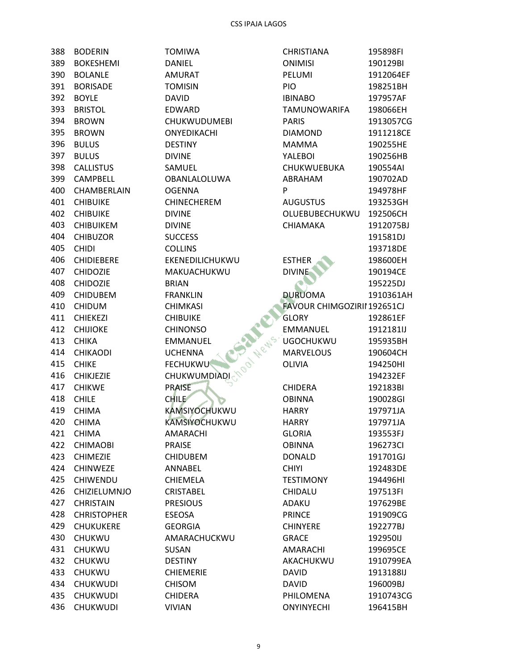| 388   | <b>BODERIN</b>      | <b>TOMIWA</b>       |
|-------|---------------------|---------------------|
| 389   | <b>BOKESHEMI</b>    | <b>DANIEL</b>       |
| 390 l | <b>BOLANLE</b>      | <b>AMURAT</b>       |
| 391   | <b>BORISADE</b>     | <b>TOMISIN</b>      |
| 392   | <b>BOYLE</b>        | <b>DAVID</b>        |
| 393   | <b>BRISTOL</b>      | EDWARD              |
| 394   | <b>BROWN</b>        | <b>CHUKWUDUMEBI</b> |
| 395   | <b>BROWN</b>        | ONYEDIKACHI         |
| 396   | <b>BULUS</b>        | <b>DESTINY</b>      |
| 397   | <b>BULUS</b>        | <b>DIVINE</b>       |
| 398   | <b>CALLISTUS</b>    | SAMUEL              |
| 399   | CAMPBELL            | OBANLALOLUWA        |
| 400   | CHAMBERLAIN         | <b>OGENNA</b>       |
| 401   | <b>CHIBUIKE</b>     | <b>CHINECHEREM</b>  |
| 402   | <b>CHIBUIKE</b>     | <b>DIVINE</b>       |
|       | 403 CHIBUIKEM       | <b>DIVINE</b>       |
| 404   | <b>CHIBUZOR</b>     | <b>SUCCESS</b>      |
| 405   | <b>CHIDI</b>        | <b>COLLINS</b>      |
| 406   | <b>CHIDIEBERE</b>   | EKENEDILICHUKWU     |
| 407   | <b>CHIDOZIE</b>     | MAKUACHUKWU         |
| 408   | <b>CHIDOZIE</b>     | <b>BRIAN</b>        |
| 409   | <b>CHIDUBEM</b>     | FRANKLIN            |
|       | 410 CHIDUM          | <b>CHIMKASI</b>     |
| 411   | <b>CHIEKEZI</b>     | <b>CHIBUIKE</b>     |
| 412   | <b>CHIJIOKE</b>     | <b>CHINONSO</b>     |
| 413   | <b>CHIKA</b>        | <b>EMMANUEL</b>     |
| 414   | <b>CHIKAODI</b>     | <b>UCHENNA</b>      |
| 415   | <b>CHIKE</b>        | <b>FECHUKWU</b>     |
| 416   | <b>CHIKJEZIE</b>    | <b>CHUKWUMDIADI</b> |
|       | 417 CHIKWE          | <b>PRAISE</b>       |
| 418   | <b>CHILE</b>        | <b>CHILE</b>        |
| 419   | <b>CHIMA</b>        | KAMSIYOCHUKWU       |
| 420   | <b>CHIMA</b>        | KAMSIYOCHUKWU       |
|       | 421 CHIMA           | AMARACHI            |
| 422   | <b>CHIMAOBI</b>     | <b>PRAISE</b>       |
| 423   | <b>CHIMEZIE</b>     | <b>CHIDUBEM</b>     |
| 424   | <b>CHINWEZE</b>     | ANNABEL             |
| 425   | <b>CHIWENDU</b>     | <b>CHIEMELA</b>     |
| 426   | <b>CHIZIELUMNJO</b> | <b>CRISTABEL</b>    |
|       | 427 CHRISTAIN       | <b>PRESIOUS</b>     |
|       | 428 CHRISTOPHER     | <b>ESEOSA</b>       |
| 429   | <b>CHUKUKERE</b>    | <b>GEORGIA</b>      |
| 430   | <b>CHUKWU</b>       | AMARACHUCKWU        |
| 431   | <b>CHUKWU</b>       | <b>SUSAN</b>        |
| 432   | <b>CHUKWU</b>       | <b>DESTINY</b>      |
| 433   | <b>CHUKWU</b>       | <b>CHIEMERIE</b>    |
| 434   | <b>CHUKWUDI</b>     | <b>CHISOM</b>       |
|       | 435 CHUKWUDI        | <b>CHIDERA</b>      |
| 436   | <b>CHUKWUDI</b>     | <b>VIVIAN</b>       |

| <b>IWA</b>        | <b>CHRISTIANA</b>              | 195898FI             |
|-------------------|--------------------------------|----------------------|
| EL.               | <b>ONIMISI</b>                 | 190129BI             |
| RAT               | PELUMI                         | 1912064EF            |
| <b>ISIN</b>       | <b>PIO</b>                     | 198251BH             |
| D                 | <b>IBINABO</b>                 | 197957AF             |
| ARD               | <b>TAMUNOWARIFA</b>            | 198066EH             |
| <b>WUDUMEBI</b>   | <b>PARIS</b>                   | 1913057CG            |
| <b>DIKACHI</b>    | <b>DIAMOND</b>                 | 1911218CE            |
| INY               | <b>MAMMA</b>                   | 190255HE             |
| ΙE                | YALEBOI                        | 190256HB             |
| JEL               | CHUKWUEBUKA                    | 190554AI             |
| <b>ILALOLUWA</b>  | ABRAHAM                        | 190702AD             |
| <b>ANN</b>        | P                              | 194978HF             |
| <b>ECHEREM</b>    | <b>AUGUSTUS</b>                | 193253GH             |
| ΙE                | OLUEBUBECHUKWU                 | 192506CH             |
| ΙE                | CHIAMAKA                       | 1912075BJ            |
| ESS               |                                | 191581DJ             |
| INS               |                                | 193718DE             |
| EDILICHUKWU       | <b>ESTHER</b>                  | 198600EH             |
| <b>JACHUKWU</b>   | <b>DIVINE</b>                  | 190194CE             |
| V                 |                                | 195225DJ             |
| <b>KLIN</b>       | <b>DURUOMA</b>                 | 1910361AH            |
| IKASI             | FAVOUR CHIMGOZIRII 192651CJ    |                      |
| <b>JIKE</b>       | <b>GLORY</b>                   | 192861EF             |
| ONSO              | <b>EMMANUEL</b>                | 1912181IJ            |
|                   | <b>UGOCHUKWU</b>               | 195935BH             |
|                   | <b>MARVELOUS</b>               | 190604CH             |
|                   | <b>OLIVIA</b>                  | 194250HI             |
|                   |                                | 194232EF             |
| E MUMDIADI        | <b>CHIDERA</b>                 | 192183BI             |
|                   | <b>OBINNA</b>                  | 190028GI             |
| <b>SIYOCHUKWU</b> | <b>HARRY</b>                   | 197971JA             |
| <b>SIYOCHUKWU</b> | <b>HARRY</b>                   |                      |
| RACHI             |                                | 197971JA             |
| SE.               | <b>GLORIA</b><br><b>OBINNA</b> | 193553FJ<br>196273CI |
|                   |                                | 191701GJ             |
| UBEM              | <b>DONALD</b>                  |                      |
| <b>\BEL</b>       | <b>CHIYI</b>                   | 192483DE             |
| MELA              | <b>TESTIMONY</b>               | 194496HI<br>197513FI |
| <b>ABEL</b>       | CHIDALU                        |                      |
| ious              | <b>ADAKU</b>                   | 197629BE             |
| SA                | <b>PRINCE</b>                  | 191909CG             |
| łGIΑ              | <b>CHINYERE</b>                | 192277BJ             |
| RACHUCKWU         | <b>GRACE</b>                   | 192950IJ             |
| Ν                 | AMARACHI                       | 199695CE             |
| INY               | AKACHUKWU                      | 1910799EA            |
| MERIE             | <b>DAVID</b>                   | 1913188IJ            |
| MC                | <b>DAVID</b>                   | 196009BJ             |
| ERA               | PHILOMENA                      | 1910743CG            |
| 'N                | <b>ONYINYECHI</b>              | 196415BH             |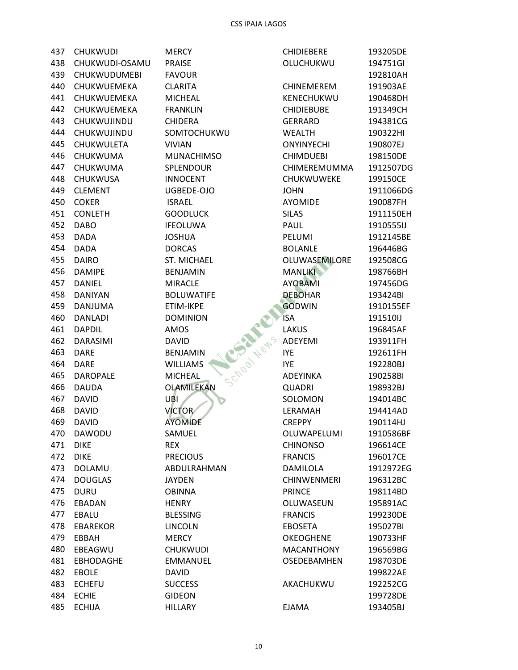| 437 | <b>CHUKWUDI</b>     | <b>MERCY</b>                   | <b>CHIDIEBERE</b>  | 193205DE  |
|-----|---------------------|--------------------------------|--------------------|-----------|
| 438 | CHUKWUDI-OSAMU      | <b>PRAISE</b>                  | OLUCHUKWU          | 194751GI  |
| 439 | <b>CHUKWUDUMEBI</b> | <b>FAVOUR</b>                  |                    | 192810AH  |
| 440 | CHUKWUEMEKA         | <b>CLARITA</b>                 | <b>CHINEMEREM</b>  | 191903AE  |
| 441 | CHUKWUEMEKA         | <b>MICHEAL</b>                 | KENECHUKWU         | 190468DH  |
| 442 | CHUKWUEMEKA         | <b>FRANKLIN</b>                | <b>CHIDIEBUBE</b>  | 191349CH  |
| 443 | CHUKWUJINDU         | <b>CHIDERA</b>                 | <b>GERRARD</b>     | 194381CG  |
| 444 | CHUKWUJINDU         | SOMTOCHUKWU                    | <b>WEALTH</b>      | 190322HI  |
| 445 | <b>CHUKWULETA</b>   | <b>VIVIAN</b>                  | <b>ONYINYECHI</b>  | 190807EJ  |
| 446 | CHUKWUMA            | <b>MUNACHIMSO</b>              | <b>CHIMDUEBI</b>   | 198150DE  |
| 447 | CHUKWUMA            | SPLENDOUR                      | CHIMEREMUMMA       | 1912507DG |
| 448 | CHUKWUSA            | <b>INNOCENT</b>                | CHUKWUWEKE         | 199150CE  |
| 449 | <b>CLEMENT</b>      | UGBEDE-OJO                     | <b>JOHN</b>        | 1911066DG |
| 450 | <b>COKER</b>        | <b>ISRAEL</b>                  | <b>AYOMIDE</b>     | 190087FH  |
| 451 | <b>CONLETH</b>      | <b>GOODLUCK</b>                | <b>SILAS</b>       | 1911150EH |
| 452 | <b>DABO</b>         | <b>IFEOLUWA</b>                | PAUL               | 1910555IJ |
| 453 | <b>DADA</b>         | <b>JOSHUA</b>                  | PELUMI             | 1912145BE |
| 454 | <b>DADA</b>         | <b>DORCAS</b>                  | <b>BOLANLE</b>     | 196446BG  |
| 455 | <b>DAIRO</b>        | <b>ST. MICHAEL</b>             | OLUWASEMILORE      | 192508CG  |
| 456 | <b>DAMIPE</b>       | <b>BENJAMIN</b>                | <b>MANLIKI</b>     | 198766BH  |
| 457 | <b>DANIEL</b>       | <b>MIRACLE</b>                 | <b>AYOBAMI</b>     | 197456DG  |
| 458 | <b>DANIYAN</b>      | <b>BOLUWATIFE</b>              | <b>DEBOHAR</b>     | 193424BI  |
| 459 | <b>DANJUMA</b>      | ETIM-IKPE                      | <b>GODWIN</b>      | 1910155EF |
| 460 | <b>DANLADI</b>      | <b>DOMINION</b>                | <b>ISA</b>         | 191510IJ  |
| 461 | <b>DAPDIL</b>       | AMOS                           | <b>LAKUS</b>       | 196845AF  |
| 462 | <b>DARASIMI</b>     | <b>DAVID</b>                   | ADEYEMI            | 193911FH  |
| 463 | <b>DARE</b>         | <b>BENJAMIN</b>                | <b>IYE</b>         | 192611FH  |
| 464 | <b>DARE</b>         | School News<br><b>WILLIAMS</b> | <b>IYE</b>         | 192280BJ  |
| 465 | <b>DAROPALE</b>     | <b>MICHEAL</b>                 | <b>ADEYINKA</b>    | 190258BI  |
| 466 | <b>DAUDA</b>        | OLAMILEKAN                     | <b>QUADRI</b>      | 198932BJ  |
| 467 | <b>DAVID</b>        | UBI                            | SOLOMON            | 194014BC  |
| 468 | <b>DAVID</b>        | <b>VICTOR</b>                  | LERAMAH            | 194414AD  |
| 469 | <b>DAVID</b>        | <b>AYOMIDE</b>                 | <b>CREPPY</b>      | 190114HJ  |
| 470 | DAWODU              | SAMUEL                         | OLUWAPELUMI        | 1910586BF |
| 471 | <b>DIKE</b>         | <b>REX</b>                     | <b>CHINONSO</b>    | 196614CE  |
| 472 | <b>DIKE</b>         | <b>PRECIOUS</b>                | <b>FRANCIS</b>     | 196017CE  |
| 473 | DOLAMU              | ABDULRAHMAN                    | <b>DAMILOLA</b>    | 1912972EG |
| 474 | <b>DOUGLAS</b>      | <b>JAYDEN</b>                  | <b>CHINWENMERI</b> | 196312BC  |
| 475 | <b>DURU</b>         | <b>OBINNA</b>                  | <b>PRINCE</b>      | 198114BD  |
| 476 | EBADAN              | <b>HENRY</b>                   | OLUWASEUN          | 195891AC  |
| 477 | EBALU               | <b>BLESSING</b>                | <b>FRANCIS</b>     | 199230DE  |
| 478 | <b>EBAREKOR</b>     | <b>LINCOLN</b>                 | <b>EBOSETA</b>     | 195027BI  |
| 479 | EBBAH               | <b>MERCY</b>                   | <b>OKEOGHENE</b>   | 190733HF  |
| 480 | EBEAGWU             | <b>CHUKWUDI</b>                | <b>MACANTHONY</b>  | 196569BG  |
| 481 | <b>EBHODAGHE</b>    | <b>EMMANUEL</b>                | OSEDEBAMHEN        | 198703DE  |
| 482 | <b>EBOLE</b>        | <b>DAVID</b>                   |                    | 199822AE  |
| 483 | <b>ECHEFU</b>       | <b>SUCCESS</b>                 | AKACHUKWU          | 192252CG  |
| 484 | <b>ECHIE</b>        | <b>GIDEON</b>                  |                    | 199728DE  |
| 485 | <b>ECHIJA</b>       | <b>HILLARY</b>                 | <b>EJAMA</b>       | 193405BJ  |
|     |                     |                                |                    |           |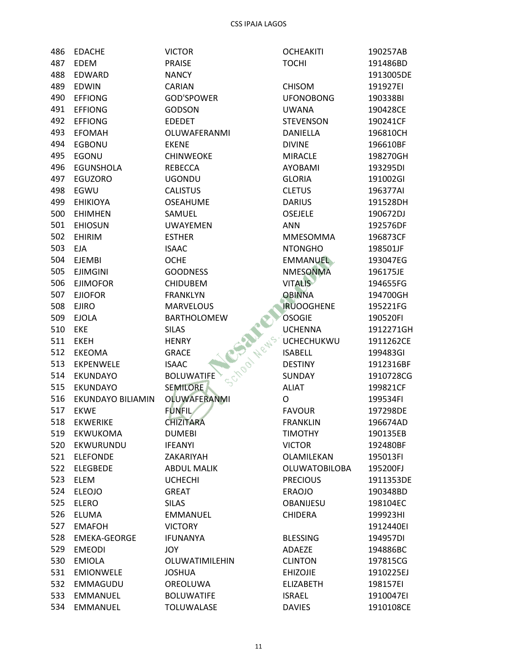| 486 | <b>EDACHE</b>       | <b>VICTOR</b>      | <b>OCHEAKITI</b>             | 190257AB  |
|-----|---------------------|--------------------|------------------------------|-----------|
| 487 | <b>EDEM</b>         | <b>PRAISE</b>      | <b>TOCHI</b>                 | 191486BD  |
| 488 | EDWARD              | <b>NANCY</b>       |                              | 1913005DE |
| 489 | <b>EDWIN</b>        | CARIAN             | <b>CHISOM</b>                | 191927EI  |
| 490 | <b>EFFIONG</b>      | <b>GOD'SPOWER</b>  | <b>UFONOBONG</b>             | 190338BI  |
| 491 | <b>EFFIONG</b>      | <b>GODSON</b>      | <b>UWANA</b>                 | 190428CE  |
| 492 | <b>EFFIONG</b>      | <b>EDEDET</b>      | <b>STEVENSON</b>             | 190241CF  |
| 493 | <b>EFOMAH</b>       | OLUWAFERANMI       | <b>DANIELLA</b>              | 196810CH  |
| 494 | <b>EGBONU</b>       | <b>EKENE</b>       | <b>DIVINE</b>                | 196610BF  |
| 495 | EGONU               | <b>CHINWEOKE</b>   | <b>MIRACLE</b>               | 198270GH  |
| 496 | <b>EGUNSHOLA</b>    | <b>REBECCA</b>     | <b>AYOBAMI</b>               | 193295DI  |
| 497 | EGUZORO             | <b>UGONDU</b>      | <b>GLORIA</b>                | 191002GI  |
| 498 | EGWU                | <b>CALISTUS</b>    | <b>CLETUS</b>                | 196377AI  |
| 499 | <b>EHIKIOYA</b>     | <b>OSEAHUME</b>    | <b>DARIUS</b>                | 191528DH  |
| 500 | <b>EHIMHEN</b>      | SAMUEL             | OSEJELE                      | 190672DJ  |
| 501 | <b>EHIOSUN</b>      | <b>UWAYEMEN</b>    | <b>ANN</b>                   | 192576DF  |
| 502 | <b>EHIRIM</b>       | <b>ESTHER</b>      | <b>MMESOMMA</b>              | 196873CF  |
| 503 | <b>EJA</b>          | <b>ISAAC</b>       | <b>NTONGHO</b>               | 198501JF  |
| 504 | <b>EJEMBI</b>       | <b>OCHE</b>        | <b>EMMANUEL</b>              | 193047EG  |
| 505 | <b>EJIMGINI</b>     | <b>GOODNESS</b>    | <b>NMESONMA</b>              | 196175JE  |
| 506 | <b>EJIMOFOR</b>     | <b>CHIDUBEM</b>    | <b>VITALIS</b>               | 194655FG  |
| 507 | <b>EJIOFOR</b>      | <b>FRANKLYN</b>    | <b>OBINNA</b>                | 194700GH  |
| 508 | <b>EJIRO</b>        | <b>MARVELOUS</b>   | <b>IRUOOGHENE</b>            | 195221FG  |
| 509 | <b>EJOLA</b>        | <b>BARTHOLOMEW</b> | <b>OSOGIE</b>                | 190520FI  |
| 510 | <b>EKE</b>          | <b>SILAS</b>       | <b>UCHENNA</b>               | 1912271GH |
| 511 | <b>EKEH</b>         | <b>HENRY</b>       | <b>UCHECHUKWU</b>            | 1911262CE |
| 512 | EKEOMA              | <b>GRACE</b>       | <b>ISABELL</b>               | 199483GI  |
| 513 | <b>EKPENWELE</b>    | <b>ISAAC</b>       | Chool News<br><b>DESTINY</b> | 1912316BF |
| 514 | <b>EKUNDAYO</b>     | <b>BOLUWATIFE</b>  | SUNDAY                       | 1910728CG |
| 515 | <b>EKUNDAYO</b>     | <b>SEMILORE</b>    | <b>ALIAT</b>                 | 199821CF  |
| 516 | EKUNDAYO BILIAMIN   | OLUWAFERANMI       | O                            | 199534FI  |
| 517 | <b>EKWE</b>         | <b>FUNFIL</b>      | <b>FAVOUR</b>                | 197298DE  |
| 518 | <b>EKWERIKE</b>     | <b>CHIZITARA</b>   | <b>FRANKLIN</b>              | 196674AD  |
| 519 | <b>EKWUKOMA</b>     | <b>DUMEBI</b>      | <b>TIMOTHY</b>               | 190135EB  |
| 520 | EKWURUNDU           | <b>IFEANYI</b>     | <b>VICTOR</b>                | 192480BF  |
| 521 | <b>ELEFONDE</b>     | ZAKARIYAH          | OLAMILEKAN                   | 195013FI  |
| 522 | <b>ELEGBEDE</b>     | <b>ABDUL MALIK</b> | <b>OLUWATOBILOBA</b>         | 195200FJ  |
| 523 | <b>ELEM</b>         | <b>UCHECHI</b>     | <b>PRECIOUS</b>              | 1911353DE |
| 524 | <b>ELEOJO</b>       | <b>GREAT</b>       | <b>ERAOJO</b>                | 190348BD  |
| 525 | <b>ELERO</b>        | <b>SILAS</b>       | OBANIJESU                    | 198104EC  |
| 526 | <b>ELUMA</b>        | <b>EMMANUEL</b>    | <b>CHIDERA</b>               | 199923HI  |
| 527 | <b>EMAFOH</b>       | <b>VICTORY</b>     |                              | 1912440EI |
| 528 | <b>EMEKA-GEORGE</b> | <b>IFUNANYA</b>    | <b>BLESSING</b>              | 194957DI  |
| 529 | <b>EMEODI</b>       | JOY                | ADAEZE                       | 194886BC  |
| 530 | <b>EMIOLA</b>       | OLUWATIMILEHIN     | <b>CLINTON</b>               | 197815CG  |
| 531 | <b>EMIONWELE</b>    | <b>JOSHUA</b>      | <b>EHIZOJIE</b>              | 1910225EJ |
| 532 | EMMAGUDU            | OREOLUWA           | <b>ELIZABETH</b>             | 198157EI  |
| 533 | <b>EMMANUEL</b>     | <b>BOLUWATIFE</b>  | <b>ISRAEL</b>                | 1910047EI |
| 534 | <b>EMMANUEL</b>     | <b>TOLUWALASE</b>  | <b>DAVIES</b>                | 1910108CE |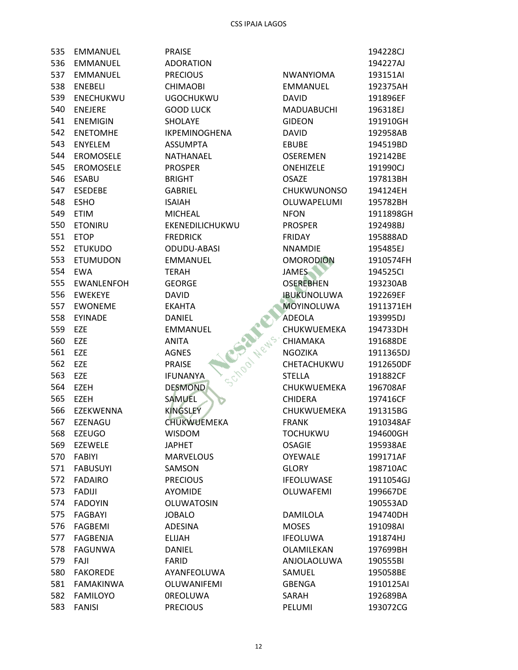| 535        | <b>EMMANUEL</b>             | <b>PRAISE</b>                   |                              | 194228CJ  |
|------------|-----------------------------|---------------------------------|------------------------------|-----------|
| 536        | <b>EMMANUEL</b>             | <b>ADORATION</b>                |                              | 194227AJ  |
| 537        | <b>EMMANUEL</b>             | <b>PRECIOUS</b>                 | <b>NWANYIOMA</b>             | 193151AI  |
| 538        | <b>ENEBELI</b>              | <b>CHIMAOBI</b>                 | <b>EMMANUEL</b>              | 192375AH  |
| 539        | <b>ENECHUKWU</b>            | <b>UGOCHUKWU</b>                | <b>DAVID</b>                 | 191896EF  |
| 540        | <b>ENEJERE</b>              | <b>GOOD LUCK</b>                | <b>MADUABUCHI</b>            | 196318EJ  |
| 541        | <b>ENEMIGIN</b>             | SHOLAYE                         | <b>GIDEON</b>                | 191910GH  |
| 542        | <b>ENETOMHE</b>             | IKPEMINOGHENA                   | <b>DAVID</b>                 | 192958AB  |
| 543        | <b>ENYELEM</b>              | <b>ASSUMPTA</b>                 | <b>EBUBE</b>                 | 194519BD  |
| 544        | <b>EROMOSELE</b>            | <b>NATHANAEL</b>                | <b>OSEREMEN</b>              | 192142BE  |
| 545        | <b>EROMOSELE</b>            | <b>PROSPER</b>                  | <b>ONEHIZELE</b>             | 191990CJ  |
| 546        | <b>ESABU</b>                | <b>BRIGHT</b>                   | <b>OSAZE</b>                 | 197813BH  |
| 547        | <b>ESEDEBE</b>              | <b>GABRIEL</b>                  | <b>CHUKWUNONSO</b>           | 194124EH  |
| 548        | <b>ESHO</b>                 | <b>ISAIAH</b>                   | OLUWAPELUMI                  | 195782BH  |
| 549        | <b>ETIM</b>                 | <b>MICHEAL</b>                  | <b>NFON</b>                  | 1911898GH |
| 550        | <b>ETONIRU</b>              | EKENEDILICHUKWU                 | <b>PROSPER</b>               | 192498BJ  |
| 551        | <b>ETOP</b>                 | <b>FREDRICK</b>                 | <b>FRIDAY</b>                | 195888AD  |
| 552        | <b>ETUKUDO</b>              | ODUDU-ABASI                     | <b>NNAMDIE</b>               | 195485EJ  |
| 553        | <b>ETUMUDON</b>             | <b>EMMANUEL</b>                 | <b>OMORODION</b>             | 1910574FH |
| 554        | <b>EWA</b>                  | <b>TERAH</b>                    | <b>JAMES</b>                 | 194525Cl  |
| 555        | <b>EWANLENFOH</b>           | <b>GEORGE</b>                   | <b>OSEREBHEN</b>             | 193230AB  |
| 556        | <b>EWEKEYE</b>              | <b>DAVID</b>                    | <b>IBUKUNOLUWA</b>           | 192269EF  |
| 557        | <b>EWONEME</b>              | <b>EKAHTA</b>                   | <b>MOYINOLUWA</b>            | 1911371EH |
| 558        | <b>EYINADE</b>              |                                 | ADEOLA                       | 193995DJ  |
| 559        |                             | DANIEL                          | CHUKWUEMEKA                  |           |
| 560        | EZE<br>EZE                  | <b>EMMANUEL</b><br>School News. |                              | 194733DH  |
| 561        | EZE                         | <b>ANITA</b>                    | CHIAMAKA                     | 191688DE  |
| 562        |                             | <b>AGNES</b>                    | NGOZIKA<br>CHETACHUKWU       | 1911365DJ |
|            | <b>EZE</b>                  | <b>PRAISE</b>                   |                              | 1912650DF |
| 563<br>564 | <b>EZE</b>                  | <b>IFUNANYA</b>                 | <b>STELLA</b><br>CHUKWUEMEKA | 191882CF  |
|            | EZEH                        | <b>DESMOND</b>                  |                              | 196708AF  |
| 565        | <b>EZEH</b>                 | <b>SAMUEL</b>                   | <b>CHIDERA</b>               | 197416CF  |
| 566        | <b>EZEKWENNA</b><br>EZENAGU | <b>KINGSLEY</b>                 | CHUKWUEMEKA                  | 191315BG  |
| 567        |                             | <b>CHUKWUEMEKA</b>              | <b>FRANK</b>                 | 1910348AF |
| 568        | <b>EZEUGO</b>               | <b>WISDOM</b>                   | <b>TOCHUKWU</b>              | 194600GH  |
| 569        | <b>EZEWELE</b>              | <b>JAPHET</b>                   | <b>OSAGIE</b>                | 195938AE  |
| 570        | <b>FABIYI</b>               | <b>MARVELOUS</b>                | <b>OYEWALE</b>               | 199171AF  |
| 571        | <b>FABUSUYI</b>             | SAMSON                          | <b>GLORY</b>                 | 198710AC  |
| 572        | <b>FADAIRO</b>              | <b>PRECIOUS</b>                 | <b>IFEOLUWASE</b>            | 1911054GJ |
| 573        | <b>FADIJI</b>               | <b>AYOMIDE</b>                  | OLUWAFEMI                    | 199667DE  |
| 574        | <b>FADOYIN</b>              | <b>OLUWATOSIN</b>               |                              | 190553AD  |
| 575        | FAGBAYI                     | <b>JOBALO</b>                   | DAMILOLA                     | 194740DH  |
| 576        | FAGBEMI                     | ADESINA                         | <b>MOSES</b>                 | 191098AI  |
| 577        | <b>FAGBENJA</b>             | <b>ELIJAH</b>                   | <b>IFEOLUWA</b>              | 191874HJ  |
| 578        | <b>FAGUNWA</b>              | <b>DANIEL</b>                   | OLAMILEKAN                   | 197699BH  |
| 579        | FAJI                        | <b>FARID</b>                    | ANJOLAOLUWA                  | 190555BI  |
| 580        | <b>FAKOREDE</b>             | AYANFEOLUWA                     | SAMUEL                       | 195058BE  |
| 581        | <b>FAMAKINWA</b>            | OLUWANIFEMI                     | <b>GBENGA</b>                | 1910125AI |
| 582        | <b>FAMILOYO</b>             | <b>OREOLUWA</b>                 | SARAH                        | 192689BA  |
| 583        | <b>FANISI</b>               | <b>PRECIOUS</b>                 | PELUMI                       | 193072CG  |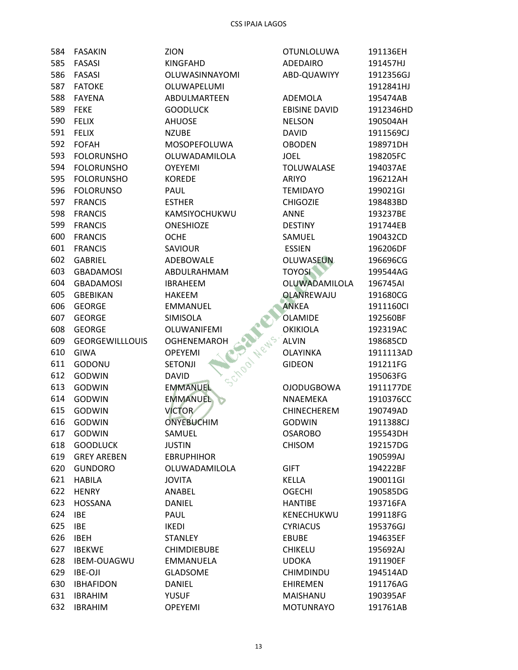| 584 | <b>FASAKIN</b>         | ZION                           | <b>OTUNLOLUWA</b>    | 191136EH  |
|-----|------------------------|--------------------------------|----------------------|-----------|
| 585 | <b>FASASI</b>          | <b>KINGFAHD</b>                | ADEDAIRO             | 191457HJ  |
| 586 | <b>FASASI</b>          | OLUWASINNAYOMI                 | ABD-QUAWIYY          | 1912356GJ |
| 587 | <b>FATOKE</b>          | OLUWAPELUMI                    |                      | 1912841HJ |
| 588 | <b>FAYENA</b>          | ABDULMARTEEN                   | ADEMOLA              | 195474AB  |
| 589 | <b>FEKE</b>            | <b>GOODLUCK</b>                | <b>EBISINE DAVID</b> | 1912346HD |
| 590 | <b>FELIX</b>           | <b>AHUOSE</b>                  | <b>NELSON</b>        | 190504AH  |
| 591 | <b>FELIX</b>           | <b>NZUBE</b>                   | <b>DAVID</b>         | 1911569CJ |
| 592 | <b>FOFAH</b>           | MOSOPEFOLUWA                   | <b>OBODEN</b>        | 198971DH  |
| 593 | <b>FOLORUNSHO</b>      | OLUWADAMILOLA                  | <b>JOEL</b>          | 198205FC  |
| 594 | <b>FOLORUNSHO</b>      | <b>OYEYEMI</b>                 | <b>TOLUWALASE</b>    | 194037AE  |
| 595 | <b>FOLORUNSHO</b>      | <b>KOREDE</b>                  | ARIYO                | 196212AH  |
| 596 | <b>FOLORUNSO</b>       | PAUL                           | <b>TEMIDAYO</b>      | 199021GI  |
| 597 | <b>FRANCIS</b>         | <b>ESTHER</b>                  | <b>CHIGOZIE</b>      | 198483BD  |
| 598 | <b>FRANCIS</b>         | KAMSIYOCHUKWU                  | <b>ANNE</b>          | 193237BE  |
| 599 | <b>FRANCIS</b>         | <b>ONESHIOZE</b>               | <b>DESTINY</b>       | 191744EB  |
| 600 | <b>FRANCIS</b>         | <b>OCHE</b>                    | SAMUEL               | 190432CD  |
| 601 | <b>FRANCIS</b>         | <b>SAVIOUR</b>                 | <b>ESSIEN</b>        | 196206DF  |
| 602 | <b>GABRIEL</b>         | ADEBOWALE                      | OLUWASEUN            | 196696CG  |
| 603 | <b>GBADAMOSI</b>       | ABDULRAHMAM                    | <b>TOYOSI</b>        | 199544AG  |
| 604 | <b>GBADAMOSI</b>       | <b>IBRAHEEM</b>                | OLUWADAMILOLA        | 196745AI  |
| 605 | <b>GBEBIKAN</b>        | <b>HAKEEM</b>                  | <b>OLANREWAJU</b>    | 191680CG  |
| 606 | <b>GEORGE</b>          | <b>EMMANUEL</b>                | <b>ANKEA</b>         | 1911160CI |
| 607 | <b>GEORGE</b>          | SIMISOLA                       | OLAMIDE              | 192560BF  |
| 608 | <b>GEORGE</b>          | OLUWANIFEMI                    | <b>OKIKIOLA</b>      | 192319AC  |
| 609 | <b>GEORGEWILLLOUIS</b> | <b>OGHENEMAROH</b>             | <b>ALVIN</b>         | 198685CD  |
| 610 | GIWA                   | <b>OPEYEMI</b>                 | <b>OLAYINKA</b>      | 1911113AD |
| 611 | GODONU                 | School News.<br><b>SETONJI</b> | <b>GIDEON</b>        | 191211FG  |
| 612 | <b>GODWIN</b>          | <b>DAVID</b>                   |                      | 195063FG  |
| 613 | <b>GODWIN</b>          | <b>EMMANUEL</b>                | <b>OJODUGBOWA</b>    | 1911177DE |
| 614 | <b>GODWIN</b>          | <b>EMMANUEL</b>                | NNAEMEKA             | 1910376CC |
| 615 | <b>GODWIN</b>          | <b>VICTOR</b>                  | <b>CHINECHEREM</b>   | 190749AD  |
| 616 | <b>GODWIN</b>          | <b>ONYEBUCHIM</b>              | <b>GODWIN</b>        | 1911388CJ |
| 617 | <b>GODWIN</b>          | SAMUEL                         | <b>OSAROBO</b>       | 195543DH  |
| 618 | <b>GOODLUCK</b>        | <b>JUSTIN</b>                  | <b>CHISOM</b>        | 192157DG  |
| 619 | <b>GREY AREBEN</b>     | <b>EBRUPHIHOR</b>              |                      | 190599AJ  |
| 620 | <b>GUNDORO</b>         | OLUWADAMILOLA                  | <b>GIFT</b>          | 194222BF  |
| 621 | <b>HABILA</b>          | <b>JOVITA</b>                  | <b>KELLA</b>         | 190011GI  |
| 622 | <b>HENRY</b>           | ANABEL                         | <b>OGECHI</b>        | 190585DG  |
| 623 | <b>HOSSANA</b>         | <b>DANIEL</b>                  | <b>HANTIBE</b>       | 193716FA  |
| 624 | <b>IBE</b>             | PAUL                           | KENECHUKWU           | 199118FG  |
| 625 | <b>IBE</b>             | <b>IKEDI</b>                   | <b>CYRIACUS</b>      | 195376GJ  |
| 626 | <b>IBEH</b>            | <b>STANLEY</b>                 | <b>EBUBE</b>         | 194635EF  |
| 627 | <b>IBEKWE</b>          | <b>CHIMDIEBUBE</b>             | <b>CHIKELU</b>       | 195692AJ  |
| 628 | IBEM-OUAGWU            | EMMANUELA                      | <b>UDOKA</b>         | 191190EF  |
| 629 | <b>IBE-OJI</b>         | <b>GLADSOME</b>                | CHIMDINDU            | 194514AD  |
| 630 | <b>IBHAFIDON</b>       | <b>DANIEL</b>                  | <b>EHIREMEN</b>      | 191176AG  |
| 631 | <b>IBRAHIM</b>         | YUSUF                          | MAISHANU             | 190395AF  |
| 632 | <b>IBRAHIM</b>         | OPEYEMI                        | <b>MOTUNRAYO</b>     | 191761AB  |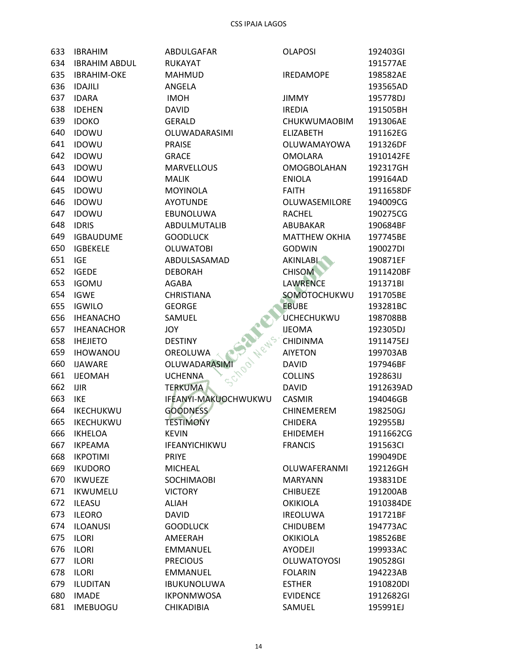| 633 | <b>IBRAHIM</b>       | ABDULGAFAR                    | <b>OLAPOSI</b>       | 192403GI  |
|-----|----------------------|-------------------------------|----------------------|-----------|
| 634 | <b>IBRAHIM ABDUL</b> | <b>RUKAYAT</b>                |                      | 191577AE  |
| 635 | <b>IBRAHIM-OKE</b>   | <b>MAHMUD</b>                 | <b>IREDAMOPE</b>     | 198582AE  |
| 636 | <b>IDAJILI</b>       | ANGELA                        |                      | 193565AD  |
| 637 | <b>IDARA</b>         | <b>IMOH</b>                   | <b>JIMMY</b>         | 195778DJ  |
| 638 | <b>IDEHEN</b>        | <b>DAVID</b>                  | <b>IREDIA</b>        | 191505BH  |
| 639 | <b>IDOKO</b>         | <b>GERALD</b>                 | CHUKWUMAOBIM         | 191306AE  |
| 640 | <b>IDOWU</b>         | OLUWADARASIMI                 | <b>ELIZABETH</b>     | 191162EG  |
| 641 | <b>IDOWU</b>         | <b>PRAISE</b>                 | OLUWAMAYOWA          | 191326DF  |
| 642 | <b>IDOWU</b>         | <b>GRACE</b>                  | <b>OMOLARA</b>       | 1910142FE |
| 643 | <b>IDOWU</b>         | <b>MARVELLOUS</b>             | <b>OMOGBOLAHAN</b>   | 192317GH  |
| 644 | <b>IDOWU</b>         | <b>MALIK</b>                  | <b>ENIOLA</b>        | 199164AD  |
| 645 | <b>IDOWU</b>         | <b>MOYINOLA</b>               | <b>FAITH</b>         | 1911658DF |
| 646 | <b>IDOWU</b>         | <b>AYOTUNDE</b>               | OLUWASEMILORE        | 194009CG  |
| 647 | <b>IDOWU</b>         | EBUNOLUWA                     | <b>RACHEL</b>        | 190275CG  |
| 648 | <b>IDRIS</b>         | ABDULMUTALIB                  | ABUBAKAR             | 190684BF  |
| 649 | <b>IGBAUDUME</b>     | <b>GOODLUCK</b>               | <b>MATTHEW OKHIA</b> | 197745BE  |
| 650 | <b>IGBEKELE</b>      | <b>OLUWATOBI</b>              | <b>GODWIN</b>        | 190027DI  |
| 651 | <b>IGE</b>           | ABDULSASAMAD                  | <b>AKINLABI</b>      | 190871EF  |
| 652 | <b>IGEDE</b>         | <b>DEBORAH</b>                | <b>CHISOM</b>        | 1911420BF |
| 653 | <b>IGOMU</b>         | AGABA                         | <b>LAWRENCE</b>      | 191371BI  |
| 654 | <b>IGWE</b>          | <b>CHRISTIANA</b>             | SOMOTOCHUKWU         | 191705BE  |
| 655 | <b>IGWILO</b>        | <b>GEORGE</b>                 | <b>EBUBE</b>         | 193281BC  |
| 656 | <b>IHEANACHO</b>     | SAMUEL                        | UCHECHUKWU           | 198708BB  |
| 657 | <b>IHEANACHOR</b>    | JOY                           | <b>IJEOMA</b>        | 192305DJ  |
| 658 | <b>IHEJIETO</b>      | Chool News.<br><b>DESTINY</b> | <b>CHIDINMA</b>      | 1911475EJ |
| 659 | <b>IHOWANOU</b>      | OREOLUWA                      | <b>AIYETON</b>       | 199703AB  |
| 660 | <b>IJAWARE</b>       | <b>OLUWADARASIMI</b>          | <b>DAVID</b>         | 197946BF  |
| 661 | <b>IJEOMAH</b>       | <b>UCHENNA</b>                | <b>COLLINS</b>       | 192863IJ  |
| 662 | <b>IJIR</b>          | <b>TERKUMA</b>                | <b>DAVID</b>         | 1912639AD |
| 663 | <b>IKE</b>           | IFEANYI-MAKUOCHWUKWU          | <b>CASMIR</b>        | 194046GB  |
| 664 | IKECHUKWU            | <b>GOODNESS</b>               | CHINEMEREM           | 198250GJ  |
| 665 | <b>IKECHUKWU</b>     | <b>TESTIMONY</b>              | <b>CHIDERA</b>       | 192955BJ  |
| 666 | <b>IKHELOA</b>       | <b>KEVIN</b>                  | <b>EHIDEMEH</b>      | 1911662CG |
| 667 | <b>IKPEAMA</b>       | IFEANYICHIKWU                 | <b>FRANCIS</b>       | 191563CI  |
| 668 | <b>IKPOTIMI</b>      | <b>PRIYE</b>                  |                      | 199049DE  |
| 669 | <b>IKUDORO</b>       | <b>MICHEAL</b>                | OLUWAFERANMI         | 192126GH  |
| 670 | <b>IKWUEZE</b>       | SOCHIMAOBI                    | <b>MARYANN</b>       | 193831DE  |
| 671 | IKWUMELU             | <b>VICTORY</b>                | <b>CHIBUEZE</b>      | 191200AB  |
| 672 | <b>ILEASU</b>        | <b>ALIAH</b>                  | <b>OKIKIOLA</b>      | 1910384DE |
| 673 | <b>ILEORO</b>        | <b>DAVID</b>                  | <b>IREOLUWA</b>      | 191721BF  |
| 674 | <b>ILOANUSI</b>      | <b>GOODLUCK</b>               | <b>CHIDUBEM</b>      | 194773AC  |
| 675 | <b>ILORI</b>         | AMEERAH                       | <b>OKIKIOLA</b>      | 198526BE  |
| 676 | <b>ILORI</b>         | <b>EMMANUEL</b>               | <b>AYODEJI</b>       | 199933AC  |
| 677 | <b>ILORI</b>         | <b>PRECIOUS</b>               | <b>OLUWATOYOSI</b>   | 190528GI  |
| 678 | <b>ILORI</b>         | <b>EMMANUEL</b>               | <b>FOLARIN</b>       | 194223AB  |
| 679 | <b>ILUDITAN</b>      | <b>IBUKUNOLUWA</b>            | <b>ESTHER</b>        | 1910820DI |
| 680 | <b>IMADE</b>         | <b>IKPONMWOSA</b>             | <b>EVIDENCE</b>      | 1912682GI |
| 681 | <b>IMEBUOGU</b>      | <b>CHIKADIBIA</b>             | SAMUEL               | 195991EJ  |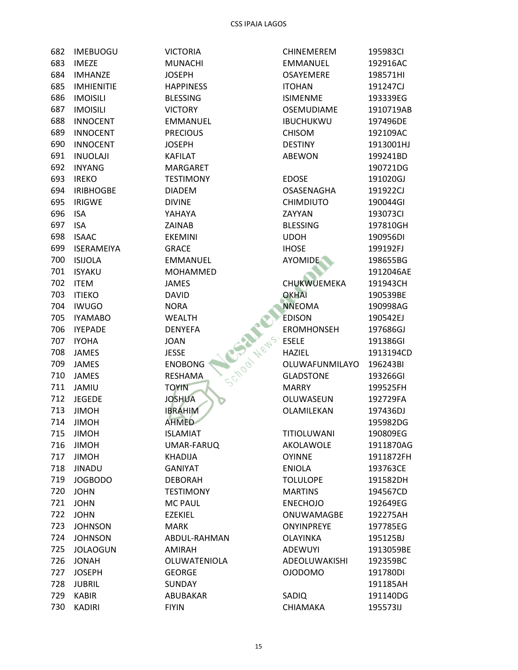| 682 | <b>IMEBUOGU</b> |
|-----|-----------------|
|     | 683 IMEZE       |
|     | 684 IMHANZE     |
|     | 685 IMHIENITIE  |
|     | 686 IMOISILI    |
|     | 687 IMOISILI    |
|     | 688 INNOCENT    |
|     | 689 INNOCENT    |
|     | 690 INNOCENT    |
|     | 691 INUOLAJI    |
|     | 692 INYANG      |
|     | 693 IREKO       |
|     | 694 IRIBHOGBE   |
|     | 695 IRIGWE      |
|     | 696 ISA         |
| 697 | <b>ISA</b>      |
|     | 698 ISAAC       |
|     | 699 ISERAMEIYA  |
|     | 700 ISIJOLA     |
|     | 701 ISYAKU      |
|     | 702 ITEM        |
|     | 703 ITIEKO      |
|     | 704 IWUGO       |
|     | 705 IYAMABO     |
|     | 706 IYEPADE     |
|     | 707 IYOHA       |
|     | 708 JAMES       |
|     | 709 JAMES       |
| 710 | <b>JAMES</b>    |
| 711 | JAMIU           |
|     | 712 JEGEDE      |
|     | 713 JIMOH       |
| 714 | <b>JIMOH</b>    |
| 715 | JIMOH           |
| 716 | JIMOH           |
| 717 | <b>JIMOH</b>    |
| 718 | <b>JINADU</b>   |
| 719 | <b>JOGBODO</b>  |
| 720 | JOHN            |
| 721 | <b>JOHN</b>     |
| 722 | <b>JOHN</b>     |
| 723 | <b>JOHNSON</b>  |
| 724 | <b>JOHNSON</b>  |
| 725 | <b>JOLAOGUN</b> |
| 726 | JONAH           |
| 727 | <b>JOSEPH</b>   |
| 728 | JUBRIL          |
| 729 | <b>KABIR</b>    |
| 730 | KADIRI          |

**VICTORIA** MUNACHI **JOSEPH HAPPINESS BLESSING VICTORY** EMMANUEL **PRECIOUS JOSEPH KAFILAT** MARGARET **TESTIMONY DIADEM DIVINE** YAHAYA ZAINAB **EKEMINI** GRACE EMMANUEL MOHAMMED **JAMES DAVID** School News, ER **NORA WEALTH DENYEFA JOAN JESSE ENOBONG RESHAMA TOYIN JOSHUA IBRAHIM AHMED ISLAMIAT** UMAR-FARUQ **KHADIJA GANIYAT DEBORAH TESTIMONY MC PAUL EZEKIEL MARK** ABDUL-RAHMAN **AMIRAH** OLUWATENIOLA **GEORGE** SUNDAY ABUBAKAR **FIYIN** 

| CHINEMEREM         | 195983CI  |
|--------------------|-----------|
| <b>EMMANUEL</b>    | 192916AC  |
| OSAYEMERE          | 198571HI  |
| <b>ITOHAN</b>      | 191247CJ  |
| <b>ISIMENME</b>    | 193339EG  |
| <b>OSEMUDIAME</b>  | 1910719AB |
| IBUCHUKWU          | 197496DE  |
| <b>CHISOM</b>      | 192109AC  |
| <b>DESTINY</b>     | 1913001HJ |
| ABEWON             | 199241BD  |
|                    | 190721DG  |
| <b>EDOSE</b>       | 191020GJ  |
| OSASENAGHA         | 191922CJ  |
| <b>CHIMDIUTO</b>   | 190044GI  |
| ZAYYAN             | 193073CI  |
| <b>BLESSING</b>    | 197810GH  |
| UDOH               | 190956DI  |
| <b>IHOSE</b>       | 199192FJ  |
| <b>AYOMIDE</b>     | 198655BG  |
|                    | 1912046AE |
| <b>CHUKWUEMEKA</b> |           |
| <b>OKHAI</b>       | 191943CH  |
|                    | 190539BE  |
| <b>NNEOMA</b>      | 190998AG  |
| <b>EDISON</b>      | 190542EJ  |
| <b>EROMHONSEH</b>  | 197686GJ  |
| <b>ESELE</b>       | 191386GI  |
| <b>HAZIEL</b>      | 1913194CD |
| OLUWAFUNMILAYO     | 196243BI  |
| <b>GLADSTONE</b>   | 193266GI  |
| MARRY              | 199525FH  |
| OLUWASEUN          | 192729FA  |
| OLAMILEKAN         | 197436DJ  |
|                    | 195982DG  |
| TITIOLUWANI        | 190809EG  |
| AKOLAWOLE          | 1911870AG |
| <b>OYINNE</b>      | 1911872FH |
| <b>ENIOLA</b>      | 193763CE  |
| <b>TOLULOPE</b>    | 191582DH  |
| <b>MARTINS</b>     | 194567CD  |
| <b>ENECHOJO</b>    | 192649EG  |
| ONUWAMAGBE         | 192275AH  |
| ONYINPREYE         | 197785EG  |
| <b>OLAYINKA</b>    | 195125BJ  |
| <b>ADEWUYI</b>     | 1913059BE |
| ADEOLUWAKISHI      | 192359BC  |
| <b>OIODOMO</b>     | 191780DI  |
|                    | 191185AH  |
| SADIQ              | 191140DG  |
| CHIAMAKA           | 195573IJ  |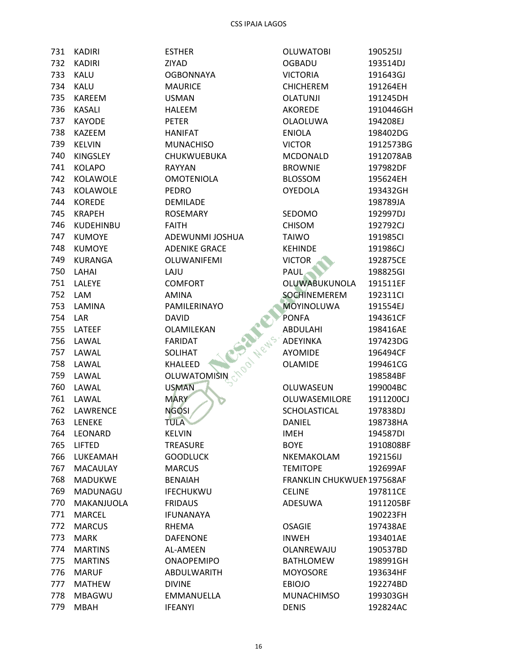| 731 | <b>KADIRI</b>    | <b>ESTHER</b>        | <b>OLUWATOBI</b>          | 190525IJ  |
|-----|------------------|----------------------|---------------------------|-----------|
| 732 | <b>KADIRI</b>    | ZIYAD                | <b>OGBADU</b>             | 193514DJ  |
| 733 | KALU             | <b>OGBONNAYA</b>     | <b>VICTORIA</b>           | 191643GJ  |
| 734 | <b>KALU</b>      | <b>MAURICE</b>       | <b>CHICHEREM</b>          | 191264EH  |
| 735 | KAREEM           | <b>USMAN</b>         | <b>OLATUNJI</b>           | 191245DH  |
| 736 | <b>KASALI</b>    | HALEEM               | <b>AKOREDE</b>            | 1910446GH |
| 737 | <b>KAYODE</b>    | <b>PETER</b>         | OLAOLUWA                  | 194208EJ  |
| 738 | KAZEEM           | <b>HANIFAT</b>       | <b>ENIOLA</b>             | 198402DG  |
| 739 | <b>KELVIN</b>    | <b>MUNACHISO</b>     | <b>VICTOR</b>             | 1912573BG |
| 740 | <b>KINGSLEY</b>  | CHUKWUEBUKA          | <b>MCDONALD</b>           | 1912078AB |
| 741 | <b>KOLAPO</b>    | <b>RAYYAN</b>        | <b>BROWNIE</b>            | 197982DF  |
| 742 | KOLAWOLE         | <b>OMOTENIOLA</b>    | <b>BLOSSOM</b>            | 195624EH  |
| 743 | KOLAWOLE         | <b>PEDRO</b>         | <b>OYEDOLA</b>            | 193432GH  |
| 744 | <b>KOREDE</b>    | <b>DEMILADE</b>      |                           | 198789JA  |
| 745 | <b>KRAPEH</b>    | <b>ROSEMARY</b>      | SEDOMO                    | 192997DJ  |
| 746 | <b>KUDEHINBU</b> | <b>FAITH</b>         | <b>CHISOM</b>             | 192792CJ  |
| 747 | <b>KUMOYE</b>    | ADEWUNMI JOSHUA      | <b>TAIWO</b>              | 191985CI  |
| 748 | <b>KUMOYE</b>    | <b>ADENIKE GRACE</b> | <b>KEHINDE</b>            | 191986CJ  |
| 749 | KURANGA          | OLUWANIFEMI          | <b>VICTOR</b>             | 192875CE  |
| 750 | LAHAI            | LAJU                 | <b>PAUL</b>               | 198825GI  |
|     |                  |                      | <b>OLUWABUKUNOLA</b>      |           |
| 751 | LALEYE           | <b>COMFORT</b>       |                           | 191511EF  |
| 752 | LAM              | <b>AMINA</b>         | <b>SOCHINEMEREM</b>       | 192311Cl  |
| 753 | LAMINA           | PAMILERINAYO         | <b>MOYINOLUWA</b>         | 191554EJ  |
| 754 | LAR              | <b>DAVID</b>         | <b>PONFA</b>              | 194361CF  |
| 755 | LATEEF           | OLAMILEKAN           | ABDULAHI                  | 198416AE  |
| 756 | LAWAL            | <b>FARIDAT</b>       | ADEYINKA                  | 197423DG  |
| 757 | LAWAL            | Metts<br>SOLIHAT     | <b>AYOMIDE</b>            | 196494CF  |
| 758 | LAWAL            | <b>PO</b><br>KHALEED | <b>OLAMIDE</b>            | 199461CG  |
| 759 | LAWAL            | OLUWATOMISIN         |                           | 198584BF  |
| 760 | LAWAL            | <b>USMAN</b>         | OLUWASEUN                 | 199004BC  |
| 761 | LAWAL            | <b>MARY</b>          | OLUWASEMILORE             | 1911200CJ |
| 762 | LAWRENCE         | <b>NGOSI</b>         | SCHOLASTICAL              | 197838DJ  |
|     | 763 LENEKE       | <b>TULA</b>          | DANIEL                    | 198738HA  |
| 764 | LEONARD          | <b>KELVIN</b>        | <b>IMEH</b>               | 194587DI  |
| 765 | <b>LIFTED</b>    | <b>TREASURE</b>      | <b>BOYE</b>               | 1910808BF |
| 766 | LUKEAMAH         | <b>GOODLUCK</b>      | NKEMAKOLAM                | 192156IJ  |
| 767 | <b>MACAULAY</b>  | <b>MARCUS</b>        | <b>TEMITOPE</b>           | 192699AF  |
| 768 | <b>MADUKWE</b>   | <b>BENAIAH</b>       | FRANKLIN CHUKWUEN197568AF |           |
| 769 | MADUNAGU         | <b>IFECHUKWU</b>     | <b>CELINE</b>             | 197811CE  |
| 770 | MAKANJUOLA       | <b>FRIDAUS</b>       | ADESUWA                   | 1911205BF |
| 771 | MARCEL           | <b>IFUNANAYA</b>     |                           | 190223FH  |
| 772 | <b>MARCUS</b>    | RHEMA                | <b>OSAGIE</b>             | 197438AE  |
| 773 | <b>MARK</b>      | <b>DAFENONE</b>      | <b>INWEH</b>              | 193401AE  |
| 774 | <b>MARTINS</b>   | AL-AMEEN             | OLANREWAJU                | 190537BD  |
| 775 | <b>MARTINS</b>   | <b>ONAOPEMIPO</b>    | <b>BATHLOMEW</b>          | 198991GH  |
| 776 | <b>MARUF</b>     | ABDULWARITH          | <b>MOYOSORE</b>           | 193634HF  |
| 777 | <b>MATHEW</b>    |                      |                           |           |
|     |                  | <b>DIVINE</b>        | <b>EBIOJO</b>             | 192274BD  |
| 778 | <b>MBAGWU</b>    | EMMANUELLA           | <b>MUNACHIMSO</b>         | 199303GH  |
| 779 | <b>MBAH</b>      | <b>IFEANYI</b>       | <b>DENIS</b>              | 192824AC  |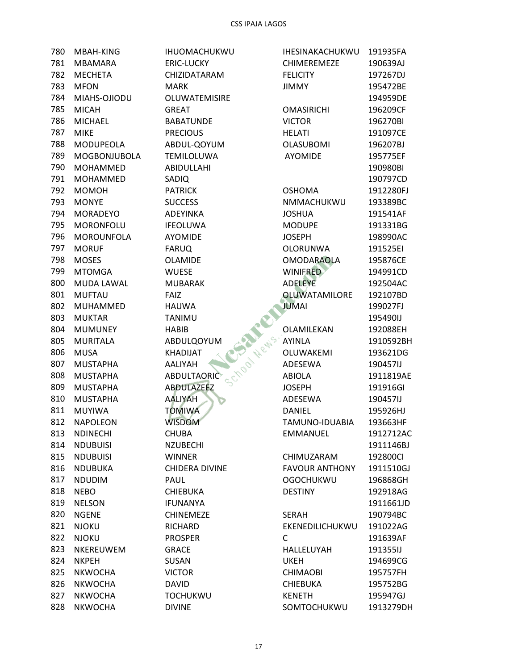| 780 | MBAH-KING         | IHUOMACHUKWU                     | <b>IHESINAKACHUKWU</b> | 191935FA  |
|-----|-------------------|----------------------------------|------------------------|-----------|
| 781 | <b>MBAMARA</b>    | <b>ERIC-LUCKY</b>                | <b>CHIMEREMEZE</b>     | 190639AJ  |
| 782 | <b>MECHETA</b>    | CHIZIDATARAM                     | <b>FELICITY</b>        | 197267DJ  |
| 783 | <b>MFON</b>       | <b>MARK</b>                      | <b>JIMMY</b>           | 195472BE  |
| 784 | MIAHS-OJIODU      | OLUWATEMISIRE                    |                        | 194959DE  |
| 785 | <b>MICAH</b>      | <b>GREAT</b>                     | <b>OMASIRICHI</b>      | 196209CF  |
| 786 | <b>MICHAEL</b>    | <b>BABATUNDE</b>                 | <b>VICTOR</b>          | 196270BI  |
| 787 | <b>MIKE</b>       | <b>PRECIOUS</b>                  | <b>HELATI</b>          | 191097CE  |
| 788 | MODUPEOLA         | ABDUL-QOYUM                      | <b>OLASUBOMI</b>       | 196207BJ  |
| 789 | MOGBONJUBOLA      | <b>TEMILOLUWA</b>                | <b>AYOMIDE</b>         | 195775EF  |
| 790 | <b>MOHAMMED</b>   | <b>ABIDULLAHI</b>                |                        | 190980BI  |
| 791 | MOHAMMED          | SADIQ                            |                        | 190797CD  |
| 792 | <b>MOMOH</b>      | <b>PATRICK</b>                   | <b>OSHOMA</b>          | 1912280FJ |
| 793 | <b>MONYE</b>      | <b>SUCCESS</b>                   | NMMACHUKWU             | 193389BC  |
| 794 | <b>MORADEYO</b>   | ADEYINKA                         | <b>JOSHUA</b>          | 191541AF  |
| 795 | <b>MORONFOLU</b>  | <b>IFEOLUWA</b>                  | <b>MODUPE</b>          | 191331BG  |
| 796 | <b>MOROUNFOLA</b> | <b>AYOMIDE</b>                   | <b>JOSEPH</b>          | 198990AC  |
| 797 | <b>MORUF</b>      | <b>FARUQ</b>                     | <b>OLORUNWA</b>        | 191525EI  |
| 798 | <b>MOSES</b>      | <b>OLAMIDE</b>                   | <b>OMODARAOLA</b>      | 195876CE  |
| 799 | <b>MTOMGA</b>     | <b>WUESE</b>                     | <b>WINIFRED</b>        | 194991CD  |
| 800 | <b>MUDA LAWAL</b> | <b>MUBARAK</b>                   | <b>ADELEYE</b>         | 192504AC  |
| 801 | <b>MUFTAU</b>     | <b>FAIZ</b>                      | <b>OLUWATAMILORE</b>   | 192107BD  |
| 802 | <b>MUHAMMED</b>   | <b>HAUWA</b>                     | <b>JUMAI</b>           | 199027FJ  |
| 803 | <b>MUKTAR</b>     | TANIMU                           |                        | 195490IJ  |
| 804 | <b>MUMUNEY</b>    | <b>HABIB</b>                     | OLAMILEKAN             | 192088EH  |
| 805 | <b>MURITALA</b>   | ABDULQOYUM                       | <b>AYINLA</b>          | 1910592BH |
| 806 | <b>MUSA</b>       | KHADIJAT                         | OLUWAKEMI              | 193621DG  |
| 807 | <b>MUSTAPHA</b>   | <b>SCTOOL NIGHS</b> .<br>AALIYAH | ADESEWA                | 190457IJ  |
| 808 | <b>MUSTAPHA</b>   | ABDULTAORIC                      | <b>ABIOLA</b>          | 1911819AE |
| 809 | <b>MUSTAPHA</b>   | <b>ABDULAZEEZ</b>                | <b>JOSEPH</b>          | 191916GI  |
| 810 | <b>MUSTAPHA</b>   | <b>AALIYAH</b>                   | ADESEWA                | 190457IJ  |
| 811 | <b>MUYIWA</b>     | <b>TOMIWA</b>                    | <b>DANIEL</b>          | 195926HJ  |
| 812 | <b>NAPOLEON</b>   | <b>WISDOM</b>                    | TAMUNO-IDUABIA         | 193663HF  |
| 813 | <b>NDINECHI</b>   | <b>CHUBA</b>                     | EMMANUEL               | 1912712AC |
| 814 | <b>NDUBUISI</b>   | <b>NZUBECHI</b>                  |                        | 1911146BJ |
| 815 | <b>NDUBUISI</b>   | <b>WINNER</b>                    | CHIMUZARAM             | 192800Cl  |
| 816 | <b>NDUBUKA</b>    | <b>CHIDERA DIVINE</b>            | <b>FAVOUR ANTHONY</b>  | 1911510GJ |
| 817 | <b>NDUDIM</b>     | <b>PAUL</b>                      | <b>OGOCHUKWU</b>       | 196868GH  |
| 818 | <b>NEBO</b>       | <b>CHIEBUKA</b>                  | <b>DESTINY</b>         | 192918AG  |
| 819 | <b>NELSON</b>     | <b>IFUNANYA</b>                  |                        | 1911661JD |
| 820 | <b>NGENE</b>      | <b>CHINEMEZE</b>                 | <b>SERAH</b>           | 190794BC  |
| 821 | <b>NJOKU</b>      | RICHARD                          | EKENEDILICHUKWU        | 191022AG  |
| 822 | <b>NJOKU</b>      | <b>PROSPER</b>                   | C                      | 191639AF  |
| 823 | NKEREUWEM         | <b>GRACE</b>                     | HALLELUYAH             | 191355IJ  |
| 824 | <b>NKPEH</b>      | <b>SUSAN</b>                     | UKEH                   | 194699CG  |
| 825 | <b>NKWOCHA</b>    | <b>VICTOR</b>                    | <b>CHIMAOBI</b>        | 195757FH  |
| 826 | <b>NKWOCHA</b>    | <b>DAVID</b>                     | <b>CHIEBUKA</b>        | 195752BG  |
| 827 | <b>NKWOCHA</b>    | <b>TOCHUKWU</b>                  | <b>KENETH</b>          | 195947GJ  |
| 828 | <b>NKWOCHA</b>    | <b>DIVINE</b>                    | SOMTOCHUKWU            | 1913279DH |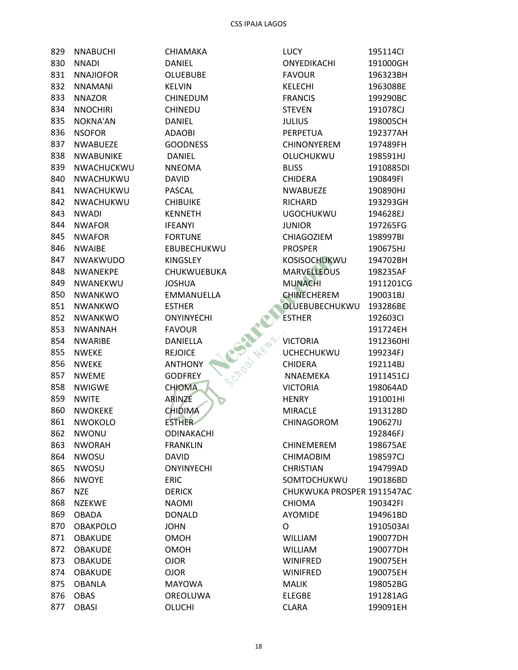| 829 - | <b>NNABUCHI</b>        |
|-------|------------------------|
| 830.  | NNADI                  |
|       | 831 NNAJIOFOR          |
|       | 832 NNAMANI            |
|       | 833 NNAZOR             |
|       | 834 NNOCHIRI           |
|       | 835 NOKNA'AN           |
|       | 836 NSOFOR             |
| 837   | <b>NWABUFZE</b>        |
|       | 838 NWABUNIKE          |
|       | 839 NWACHUCKWU         |
|       | 840 NWACHUKWU          |
|       | 841 NWACHUKWU          |
|       | 842 NWACHUKWU          |
|       | 843 NWADI              |
|       | 844 NWAFOR             |
|       | 845 NWAFOR             |
|       | 846 NWAIBE             |
|       | 847 NWAKWUDO           |
|       | 848 NWANEKPE           |
|       | 849 NWANEKWU           |
|       | 850 NWANKWO            |
|       | 851 NWANKWO            |
| 852   | NWANKWO                |
|       | 853 NWANNAH            |
|       | 854 NWARIBE            |
| 855   | <b>NWEKE</b>           |
|       | 856 NWEKE              |
|       | 857 NWEME              |
|       | 858 NWIGWE             |
| 859   | <b>NWITE</b>           |
|       | 860 NWOKEKE            |
|       | 861 NWOKOLO            |
| 862   |                        |
| 863   | NWONU<br><b>NWORAH</b> |
|       |                        |
| 864   | <b>NWOSU</b>           |
| 865   | <b>NWOSU</b>           |
| 866   | <b>NWOYE</b>           |
| 867   | <b>NZE</b>             |
| 868   | <b>NZEKWE</b>          |
| 869   | <b>OBADA</b>           |
| 870   | <b>OBAKPOLO</b>        |
| 871   | <b>OBAKUDE</b>         |
| 872   | <b>OBAKUDE</b>         |
| 873   | <b>OBAKUDE</b>         |
| 874   | <b>OBAKUDE</b>         |
| 875   | <b>OBANLA</b>          |
| 876   | <b>OBAS</b>            |
| 877   | OBASI                  |

CHIAMAKA **DANIEL OLUEBUBE KELVIN** CHINEDUM **CHINEDU DANIEL ADAOBI GOODNESS DANIEL NNEOMA DAVID** PASCAL **CHIBUIKE KENNETH IFEANYI FORTUNE** EBUBECHUKWU KINGSLEY CHUKWUEBUKA **JOSHUA** School News, VIC EMMANUELLA **ESTHER ONYINYECHI FAVOUR DANIELLA REJOICE ANTHONY GODFREY CHIOMA** ARINZE **CHIDIMA ESTHER** ODINAKACHI **FRANKLIN DAVID** ONYINYECHI **ERIC DERICK NAOMI DONALD JOHN** OMOH **OMOH OJOR OJOR MAYOWA** OREOLUWA

**OLUCHI** 

| <b>LUCY</b>                | 195114Cl  |
|----------------------------|-----------|
| ONYEDIKACHI                | 191000GH  |
| <b>FAVOUR</b>              | 196323BH  |
| KELECHI                    | 196308BE  |
| <b>FRANCIS</b>             | 199290BC  |
| <b>STEVEN</b>              | 191078CJ  |
| JULIUS                     | 198005CH  |
| PERPETUA                   | 192377AH  |
| <b>CHINONYEREM</b>         | 197489FH  |
| OLUCHUKWU                  | 198591HJ  |
| <b>BLISS</b>               | 1910885DI |
| <b>CHIDERA</b>             | 190849FI  |
| <b>NWABUEZE</b>            | 190890HJ  |
| <b>RICHARD</b>             | 193293GH  |
| <b>UGOCHUKWU</b>           | 194628EJ  |
| <b>JUNIOR</b>              | 197265FG  |
| <b>CHIAGOZIEM</b>          | 198997BI  |
| <b>PROSPER</b>             | 190675HJ  |
| <b>KOSISOCHUKWU</b>        | 194702BH  |
| <b>MARVELLEOUS</b>         | 198235AF  |
|                            |           |
| <b>MUNACHI</b>             | 1911201CG |
| <b>CHINECHEREM</b>         | 190031BJ  |
| OLUEBUBECHUKWU             | 193286BE  |
| <b>ESTHER</b>              | 192603CI  |
|                            | 191724EH  |
| <b>VICTORIA</b>            | 1912360HI |
| <b>UCHECHUKWU</b>          | 199234FJ  |
| <b>CHIDERA</b>             | 192114BJ  |
| NNAEMEKA                   | 1911451CJ |
| <b>VICTORIA</b>            | 198064AD  |
| <b>HENRY</b>               | 191001HI  |
| <b>MIRACLE</b>             | 191312BD  |
| CHINAGOROM                 | 190627IJ  |
|                            | 192846FJ  |
| <b>CHINEMEREM</b>          | 198675AE  |
| <b>CHIMAOBIM</b>           | 198597CJ  |
| <b>CHRISTIAN</b>           | 194799AD  |
| SOMTOCHUKWU                | 190186BD  |
| CHUKWUKA PROSPER 1911547AC |           |
| <b>CHIOMA</b>              | 190342FI  |
| <b>AYOMIDE</b>             | 194961BD  |
| 0                          | 1910503AI |
| WILLIAM                    | 190077DH  |
| <b>WILLIAM</b>             | 190077DH  |
| <b>WINIFRED</b>            | 190075EH  |
| <b>WINIFRED</b>            | 190075EH  |
| <b>MALIK</b>               | 198052BG  |
| <b>ELEGBE</b>              | 191281AG  |
| <b>CLARA</b>               | 199091EH  |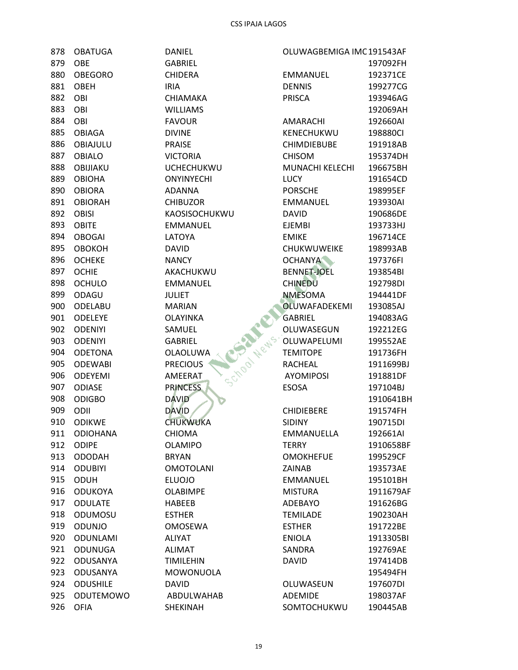| 878 -   | OBATUGA                    |
|---------|----------------------------|
| 879     | OBE                        |
| 880     | <b>OBEGORO</b>             |
|         | 881 OBEH                   |
| 882 OBI |                            |
| 883     | <b>OBI</b>                 |
| 884 OBI |                            |
|         | 885 OBIAGA                 |
|         | 886 OBIAJULU               |
| 887     | <b>OBIALO</b>              |
|         | 888 OBIJIAKU               |
|         | 889 OBIOHA                 |
| 890     | <b>OBIORA</b>              |
|         | 891 OBIORAH                |
|         | 892 OBISI                  |
|         | 893 OBITE                  |
| 894     | <b>OBOGAI</b>              |
|         | 895 OBOKOH                 |
|         | 896 OCHEKE                 |
| 897     | <b>OCHIE</b>               |
|         | 898 OCHULO                 |
|         | 899 ODAGU                  |
|         | 900 ODELABU                |
| 901     | <b>ODELEYE</b>             |
|         |                            |
|         | 902 ODENIYI<br>903 ODENIYI |
|         | 904 ODETONA                |
|         |                            |
| 905     | <b>ODEWABI</b>             |
|         | 906 ODEYEMI                |
|         | 907 ODIASE                 |
| 908     | <b>ODIGBO</b>              |
|         | 909 ODII                   |
| 910     | <b>ODIKWE</b>              |
| 911     | <b>ODIOHANA</b>            |
| 912     | <b>ODIPE</b>               |
| 913     | <b>ODODAH</b>              |
| 914     | <b>ODUBIYI</b>             |
| 915     | <b>ODUH</b>                |
| 916     | ODUKOYA                    |
| 917     | <b>ODULATE</b>             |
| 918     | ODUMOSU                    |
| 919     | ODUNJO                     |
| 920     | <b>ODUNLAMI</b>            |
| 921     | ODUNUGA                    |
| 922     | ODUSANYA                   |
| 923     | <b>ODUSANYA</b>            |
| 924     | <b>ODUSHILE</b>            |
| 925     | ODUTEMOWO                  |
| 926     | <b>OFIA</b>                |

**DANIEL GABRIEL CHIDERA IRIA** CHIAMAKA **WILLIAMS FAVOUR DIVINE PRAISE VICTORIA UCHECHUKWU ONYINYECHI ADANNA CHIBUZOR** KAOSISOCHUKWU **EMMANUEL LATOYA DAVID NANCY** AKACHUKWU **EMMANUEL** School News, October **JULIET MARIAN OLAYINKA** SAMUEL **GABRIEL OLAOLUWA PRECIOUS** AMEERAT **PRINCESS DAVID DAVID CHUKWUKA CHIOMA OLAMIPO BRYAN OMOTOLANI ELUOJO OLABIMPE HABEEB ESTHER OMOSEWA ALIYAT ALIMAT TIMILEHIN** MOWONUOLA **DAVID** ABDULWAHAB SHEKINAH

| OLUWAGBEMIGA IMC191543AF   |                       |  |  |
|----------------------------|-----------------------|--|--|
|                            | 197092FH              |  |  |
| <b>EMMANUEL</b>            | 192371CE              |  |  |
| <b>DENNIS</b>              | 199277CG              |  |  |
| <b>PRISCA</b>              | 193946AG              |  |  |
|                            | 192069AH              |  |  |
| AMARACHI                   | 192660AI              |  |  |
| KENECHUKWU                 | 198880CI              |  |  |
| <b>CHIMDIEBUBE</b>         | 191918AB              |  |  |
| <b>CHISOM</b>              | 195374DH              |  |  |
| MUNACHI KELECHI            | 196675BH              |  |  |
| LUCY                       | 191654CD              |  |  |
| <b>PORSCHE</b>             | 198995EF              |  |  |
| <b>EMMANUEL</b>            | 193930AI              |  |  |
| <b>DAVID</b>               | 190686DF              |  |  |
| <b>EJEMBI</b>              | 193733HJ              |  |  |
| EMIKE                      | 196714CE              |  |  |
| CHUKWUWEIKE                | 198993AB              |  |  |
| <b>OCHANYA</b>             | 197376FI              |  |  |
| <b>BENNET-JOEL</b>         | 193854BI              |  |  |
| <b>CHINEDU</b>             | 192798DI              |  |  |
| <b>NMESOMA</b>             | 194441DF              |  |  |
| <b>OLUWAFADEKEMI</b>       | 193085AJ              |  |  |
| GABRIEL                    | 194083AG              |  |  |
| OLUWASEGUN                 | 192212EG              |  |  |
| OLUWAPELUMI                | 199552AE              |  |  |
| <b>TEMITOPE</b>            | 191736FH              |  |  |
| RACHEAL                    | 1911699BJ             |  |  |
| <b>AYOMIPOSI</b>           | 191881DF              |  |  |
| <b>ESOSA</b>               | 197104BJ              |  |  |
|                            | 1910641BH             |  |  |
| <b>CHIDIEBERE</b>          | 191574FH              |  |  |
| <b>SIDINY</b>              | 190715DI              |  |  |
|                            |                       |  |  |
| EMMANUELLA<br><b>TERRY</b> | 192661AI<br>1910658BF |  |  |
|                            |                       |  |  |
| OMOKHEFUE                  | 199529CF              |  |  |
| <b>ZAINAB</b>              | 193573AE              |  |  |
| <b>EMMANUEL</b>            | 195101BH              |  |  |
| <b>MISTURA</b>             | 1911679AF             |  |  |
| <b>ADEBAYO</b>             | 191626BG              |  |  |
| <b>TEMILADE</b>            | 190230AH              |  |  |
| <b>ESTHER</b>              | 191722BE              |  |  |
| ENIOLA                     | 1913305BI             |  |  |
| SANDRA                     | 192769AE              |  |  |
| <b>DAVID</b>               | 197414DB              |  |  |
|                            | 195494FH              |  |  |
| OLUWASEUN                  | 197607DI              |  |  |
| <b>ADEMIDE</b>             | 198037AF              |  |  |
| SOMTOCHUKWU                | 190445AB              |  |  |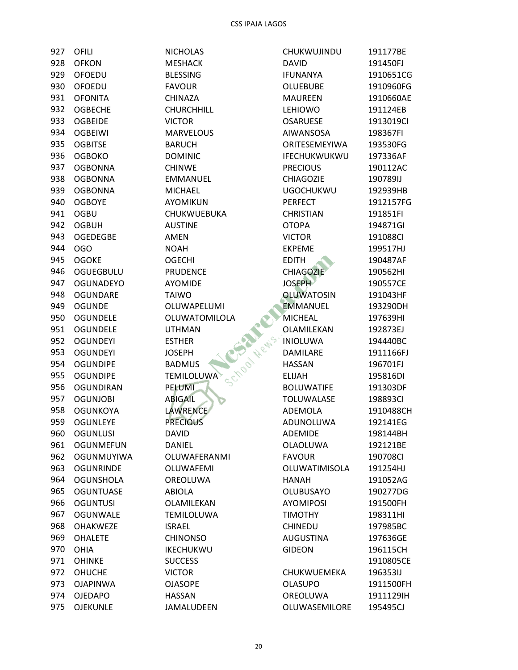| 927 | OFILI             |
|-----|-------------------|
|     | 928 OFKON         |
|     | 929 OFOEDU        |
| 930 | OFOEDU            |
|     | 931 OFONITA       |
|     | 932 OGBECHE       |
|     | 933 OGBEIDE       |
| 934 | <b>OGBEIWI</b>    |
|     | 935 OGBITSE       |
|     | 936 OGBOKO        |
| 937 | <b>OGBONNA</b>    |
|     | 938 OGBONNA       |
|     | 939 OGBONNA       |
|     | 940 OGBOYE        |
| 941 | OGBU              |
|     | 942 OGBUH         |
|     | 943 OGEDEGBE      |
|     | 944 OGO           |
|     | 945 OGOKE         |
|     | 946 OGUEGBULU     |
|     | 947 OGUNADEYO     |
| 948 | <b>OGUNDARE</b>   |
|     | 949 OGUNDE        |
|     | 950 OGUNDELE      |
|     | 951 OGUNDELE      |
| 952 | OGUNDEYI          |
|     | 953 OGUNDEYI      |
|     | 954 OGUNDIPE      |
| 955 | <b>OGUNDIPE</b>   |
| 956 | <b>OGUNDIRAN</b>  |
|     | 957 OGUNJOBI      |
|     | 958 OGUNKOYA      |
| 959 | <b>OGUNLEYE</b>   |
| 960 | <b>OGUNLUSI</b>   |
| 961 | <b>OGUNMEFUN</b>  |
| 962 | <b>OGUNMUYIWA</b> |
| 963 | OGUNRINDE         |
| 964 | <b>OGUNSHOLA</b>  |
| 965 | <b>OGUNTUASE</b>  |
| 966 | <b>OGUNTUSI</b>   |
| 967 | OGUNWALE          |
| 968 | <b>OHAKWEZE</b>   |
| 969 | <b>OHALETE</b>    |
| 970 | OHIA              |
| 971 | <b>OHINKE</b>     |
| 972 | <b>OHUCHE</b>     |
| 973 | <b>OJAPINWA</b>   |
| 974 | OJEDAPO           |
| 975 | <b>OJEKUNLE</b>   |

**NICHOLAS MESHACK BLESSING FAVOUR** CHINAZA CHURCHHILL **VICTOR MARVELOUS BARUCH DOMINIC CHINWE EMMANUEL MICHAEL** AYOMIKUN CHUKWUEBUKA **AUSTINE** AMEN **NOAH OGECHI PRUDENCE AYOMIDE TAIWO** School News, DL OLUWAPELUMI OLUWATOMILOLA **UTHMAN ESTHER JOSEPH BADMUS TEMILOLUWA PELUMI ABIGAIL** LAWRENCE **PRECIOUS DAVID** DANIEL OLUWAFERANMI OLUWAFEMI OREOLUWA **ABIOLA** OLAMILEKAN TEMILOLUWA **ISRAEL CHINONSO** IKECHUKWU **SUCCESS VICTOR OJASOPE HASSAN** JAMALUDEEN

| CHUKWUJINDU          | 191177BE  |
|----------------------|-----------|
| <b>DAVID</b>         | 191450FJ  |
| <b>IFUNANYA</b>      | 1910651CG |
| OLUEBUBE             | 1910960FG |
| <b>MAUREEN</b>       | 1910660AE |
| <b>LEHIOWO</b>       | 191124EB  |
| <b>OSARUESE</b>      | 1913019CI |
| <b>AIWANSOSA</b>     | 198367FI  |
| <b>ORITESEMEYIWA</b> | 193530FG  |
| IFECHUKWUKWU         | 197336AF  |
| <b>PRECIOUS</b>      | 190112AC  |
| <b>CHIAGOZIE</b>     | 190789IJ  |
| <b>UGOCHUKWU</b>     | 192939HB  |
| <b>PERFECT</b>       | 1912157FG |
| <b>CHRISTIAN</b>     | 191851FI  |
| OTOPA                | 194871GI  |
| <b>VICTOR</b>        | 191088CI  |
| <b>EKPEME</b>        | 199517HJ  |
| EDITH                | 190487AF  |
| <b>CHIAGOZIE</b>     | 190562HI  |
| <b>JOSEPH</b>        | 190557CE  |
| <b>OLUWATOSIN</b>    | 191043HF  |
| <b>EMMANUEL</b>      | 193290DH  |
| <b>MICHEAL</b>       | 197639HI  |
| OLAMILEKAN           | 192873EJ  |
| <b>INIOLUWA</b>      | 194440BC  |
| <b>DAMILARE</b>      | 1911166FJ |
| <b>HASSAN</b>        | 196701FJ  |
| <b>ELIJAH</b>        | 195816DI  |
| <b>BOLUWATIFE</b>    | 191303DF  |
| TOLUWALASE           | 198893CI  |
| ADEMOLA              | 1910488CH |
| ADUNOLUWA            | 192141EG  |
| <b>ADEMIDE</b>       | 198144BH  |
| OLAOLUWA             | 192121BE  |
| <b>FAVOUR</b>        | 190708CI  |
| OLUWATIMISOLA        | 191254HJ  |
| <b>HANAH</b>         | 191052AG  |
| OLUBUSAYO            | 190277DG  |
| <b>AYOMIPOSI</b>     | 191500FH  |
| <b>TIMOTHY</b>       | 198311HI  |
| <b>CHINEDU</b>       | 197985BC  |
| AUGUSTINA            | 197636GE  |
| <b>GIDEON</b>        | 196115CH  |
|                      | 1910805CE |
| CHUKWUEMEKA          | 196353IJ  |
| <b>OLASUPO</b>       | 1911500FH |
| OREOLUWA             | 1911129IH |
| OLUWASEMILORE        | 195495CJ  |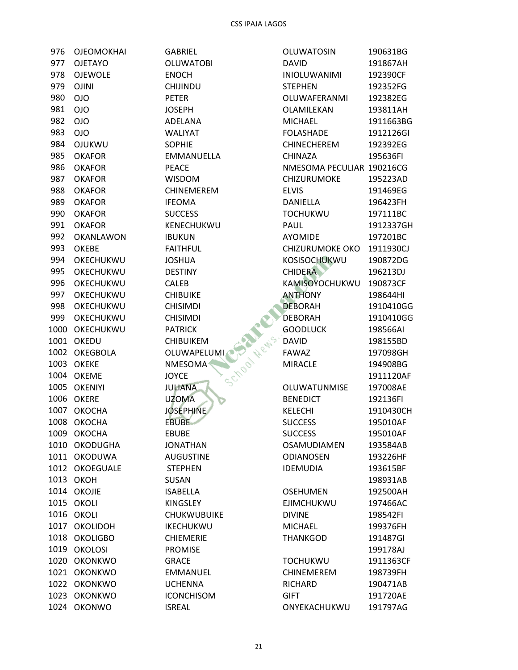| 976   | OJEOMOKHAI        |
|-------|-------------------|
| 977   | <b>OJETAYO</b>    |
| 978   | <b>OJEWOLE</b>    |
| 979   | <b>OJINI</b>      |
| 980.  | <b>OIO</b>        |
| 981   | <b>OIO</b>        |
| 982   | <b>OIO</b>        |
| 983   | <b>OIO</b>        |
| 984   | <b>OJUKWU</b>     |
| 985   | <b>OKAFOR</b>     |
|       | 986 OKAFOR        |
|       |                   |
| 987   | <b>OKAFOR</b>     |
| 988   | <b>OKAFOR</b>     |
|       | 989 OKAFOR        |
| 990 - | <b>OKAFOR</b>     |
| 991   | <b>OKAFOR</b>     |
| 992   | OKANLAWON         |
|       | 993 OKEBE         |
| 994   | OKECHUKWU         |
| 995   | OKECHUKWU         |
|       | 996 OKECHUKWU     |
| 997   | OKECHUKWU         |
| 998   | OKECHUKWU         |
| 999   | OKECHUKWU         |
|       | 1000 OKECHUKWU    |
|       | 1001 OKEDU        |
|       | 1002 OKEGBOLA     |
|       | 1003 OKEKE        |
|       | 1004 OKEME        |
|       | 1005 OKENIYI      |
|       | <b>1006 OKERE</b> |
|       | 1007 OKOCHA       |
|       | 1008 OKOCHA       |
|       |                   |
| 1009  | <b>ОКОСНА</b>     |
| 1010  | OKODUGHA          |
| 1011  | <b>OKODUWA</b>    |
| 1012  | <b>OKOEGUALE</b>  |
| 1013  | ОКОН              |
| 1014  | OKOJIE            |
| 1015  | OKOLI             |
| 1016  | OKOLI             |
| 1017  | OKOLIDOH          |
| 1018  | <b>OKOLIGBO</b>   |
| 1019  | <b>OKOLOSI</b>    |
| 1020  | <b>OKONKWO</b>    |
| 1021  | <b>OKONKWO</b>    |
| 1022  | <b>OKONKWO</b>    |
| 1023  | <b>OKONKWO</b>    |
| 1024  | <b>OKONWO</b>     |

GABRIEL **OLUWATOBI ENOCH** CHIJINDU PETER **JOSEPH** ADELANA WALIYAT SOPHIE EMMANUELLA **PEACE WISDOM** CHINEMEREM **IFEOMA SUCCESS** KENECHUKWU **IBUKUN FAITHFUL JOSHUA DESTINY CALEB CHIBUIKE CHISIMDI CHISIMDI PATRICK CHIBUIKEM** OLUWAPELUMI **NMESOMA JOYCE JULIANA UZOMA JOSEPHINE EBUBE EBUBE JONATHAN AUGUSTINE STEPHEN** SUSAN **ISABELLA** KINGSLEY **CHUKWUBUIKE** IKECHUKWU **CHIEMERIE** PROMISE **GRACE** EMMANUEL **UCHENNA ICONCHISOM ISREAL** 

|                  | <b>OLUWATOSIN</b>         | 190631BG  |
|------------------|---------------------------|-----------|
|                  | <b>DAVID</b>              | 191867AH  |
|                  | <b>INIOLUWANIMI</b>       | 192390CF  |
|                  | <b>STEPHEN</b>            | 192352FG  |
|                  | OLUWAFERANMI              | 192382EG  |
|                  | OLAMILEKAN                | 193811AH  |
|                  | <b>MICHAEL</b>            | 1911663BG |
|                  | <b>FOLASHADE</b>          | 1912126GI |
|                  | <b>CHINECHEREM</b>        | 192392EG  |
| ١                | <b>CHINAZA</b>            | 195636FI  |
|                  | NMESOMA PECULIAR 190216CG |           |
|                  | <b>CHIZURUMOKE</b>        | 195223AD  |
|                  | <b>ELVIS</b>              | 191469EG  |
|                  | DANIELLA                  | 196423FH  |
|                  | <b>TOCHUKWU</b>           | 197111BC  |
|                  | <b>PAUL</b>               | 1912337GH |
|                  | <b>AYOMIDE</b>            | 197201BC  |
|                  | <b>CHIZURUMOKE OKO</b>    | 1911930CJ |
|                  | KOSISOCHUKWU              | 190872DG  |
|                  | <b>CHIDERA</b>            | 196213DJ  |
|                  | KAMISOYOCHUKWU            | 190873CF  |
|                  | <b>ANTHONY</b>            | 198644HI  |
|                  | <b>DEBORAH</b>            | 1910410GG |
|                  | <b>DEBORAH</b>            | 1910410GG |
|                  | <b>GOODLUCK</b>           | 198566AI  |
| <b>CHOON Net</b> | <b>DAVID</b>              | 198155BD  |
|                  | <b>FAWAZ</b>              | 197098GH  |
|                  | <b>MIRACLE</b>            | 194908BG  |
|                  |                           | 1911120AF |
|                  | <b>OLUWATUNMISE</b>       | 197008AE  |
|                  | <b>BENEDICT</b>           | 192136FI  |
|                  | <b>KELECHI</b>            | 1910430CH |
|                  | <b>SUCCESS</b>            | 195010AF  |
|                  | <b>SUCCESS</b>            | 195010AF  |
|                  | <b>OSAMUDIAMEN</b>        | 193584AB  |
|                  | <b>ODIANOSEN</b>          | 193226HF  |
|                  | <b>IDEMUDIA</b>           | 193615BF  |
|                  |                           | 198931AB  |
|                  | <b>OSEHUMEN</b>           | 192500AH  |
|                  | <b>EJIMCHUKWU</b>         | 197466AC  |
| ίE               | <b>DIVINE</b>             | 198542FI  |
|                  | <b>MICHAEL</b>            | 199376FH  |
|                  | <b>THANKGOD</b>           | 191487GI  |
|                  |                           | 199178AJ  |
|                  | <b>TOCHUKWU</b>           | 1911363CF |
|                  | CHINEMEREM                | 198739FH  |
|                  | <b>RICHARD</b>            | 190471AB  |
|                  | <b>GIFT</b>               | 191720AE  |
|                  | ONYEKACHUKWU              | 191797AG  |
|                  |                           |           |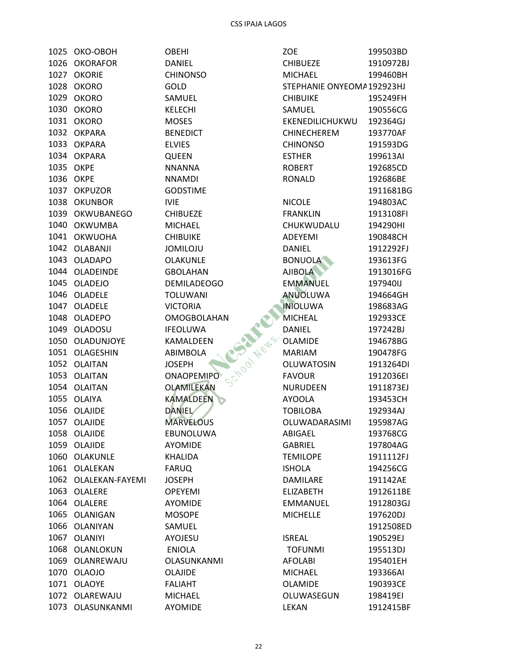1025 OKO-OBOH 1026 OKORAFOR 1027 OKORIE 1028 OKORO 1029 OKORO 1030 OKORO 1031 OKORO 1032 OKPARA 1033 OKPARA 1034 OKPARA 1035 OKPE 1036 OKPE 1037 OKPUZOR 1038 OKUNBOR 1039 OKWUBANEGO 1040 OKWUMBA 1041 OKWUOHA 1042 OLABANJI 1043 OLADAPO 1044 OLADEINDE 1045 OLADEJO 1046 OLADELE 1047 OLADELE 1048 OLADEPO 1049 OLADOSU 1050 OLADUNJOYE 1051 OLAGESHIN 1052 OLAITAN 1053 OLAITAN 1054 OLAITAN 1055 OLAIYA 1056 OLAJIDE 1057 OLAJIDE 1058 OLAJIDE 1059 OLAJIDE 1060 OLAKUNLE 1061 OLALEKAN 1062 OLALEKAN-FAYEMI 1063 OLALERE 1064 OLALERE 1065 OLANIGAN 1066 OLANIYAN 1067 OLANIYI 1068 OLANLOKUN 1069 OLANREWAJU 1070 OLAOJO 1071 OLAOYE 1072 OLAREWAJU 1073 OLASUNKANMI

**OBEHI DANIEL CHINONSO** GOLD SAMUEL **KELECHI MOSES BENEDICT ELVIES QUEEN NNANNA NNAMDI GODSTIME IVIE CHIBUEZE MICHAEL CHIBUIKE JOMILOJU** OLAKUNLE **GBOLAHAN DEMILADEOGO TOLUWANI VICTORIA OMOGBOLAHAN IFEOLUWA** KAMALDEEN **ABIMBOLA JOSEPH ONAOPEMIPO** OLAMILEKAN **KAMALDEEN DANIEL MARVELOUS** EBUNOLUWA **AYOMIDE KHALIDA FARUQ JOSEPH OPEYEMI AYOMIDE MOSOPE** SAMUEL **AYOJESU ENIOLA OLASUNKANMI** OLAJIDE **FALIAHT MICHAEL** 

**AYOMIDE** 

| <b>ZOE</b>                | 199503BD              |
|---------------------------|-----------------------|
| <b>CHIBUEZE</b>           | 1910972BJ             |
| <b>MICHAEL</b>            | 199460BH              |
| STEPHANIE ONYEOMA192923HJ |                       |
| CHIBUIKE                  | 195249FH              |
| SAMUEL                    | 190556CG              |
| EKENEDILICHUKWU           | 192364GJ              |
| <b>CHINECHEREM</b>        | 193770AF              |
| <b>CHINONSO</b>           | 191593DG              |
| <b>ESTHER</b>             | 199613AI              |
| ROBERT                    | 192685CD              |
| RONALD                    | 192686BE              |
|                           | 1911681BG             |
| NICOLE                    | 194803AC              |
| <b>FRANKLIN</b>           | 1913108FI             |
| CHUKWUDALU                | 194290HI              |
| <b>ADEYEMI</b>            | 190848CH              |
| <b>DANIEL</b>             | 1912292FJ             |
| <b>BONUOLA</b>            | 193613FG              |
| <b>AJIBOLA</b>            | 1913016FG             |
| <b>EMMANUEL</b>           | 197940IJ              |
| ANUOLUWA                  | 194664GH              |
| <b>INIOLUWA</b>           | 198683AG              |
| <b>MICHEAL</b>            | 192933CE              |
| DANIEL                    | 197242BJ              |
| OLAMIDE                   | 194678BG              |
| <b>MARIAM</b>             | 190478FG              |
| OLUWATOSIN                | 1913264DI             |
| <b>FAVOUR</b>             | 1912036EI             |
| <b>NURUDEEN</b>           | 1911873EJ             |
| <b>AYOOLA</b>             | 193453CH              |
| <b>TOBILOBA</b>           | 192934AJ              |
| OLUWADARASIMI             | 195987AG              |
| ABIGAEL                   | 193768CG              |
| GABRIEL                   | 197804AG              |
| <b>TEMILOPE</b>           | 1911112FJ             |
| ISHOLA                    | 194256CG              |
| <b>DAMILARE</b>           | 191142AE              |
| <b>ELIZABETH</b>          | 1912611BE             |
| <b>EMMANUEL</b>           | 1912803GJ             |
| <b>MICHELLE</b>           | 197620DJ              |
|                           | 1912508ED             |
| <b>ISREAL</b>             | 190529EJ              |
| <b>TOFUNMI</b>            | 195513DJ              |
| <b>AFOLABI</b>            | 195401EH              |
| <b>MICHAEL</b>            | 193366AI              |
| OLAMIDE                   | 190393CE              |
|                           |                       |
| OLUWASEGUN<br>LEKAN       | 198419EI<br>1912415BF |
|                           |                       |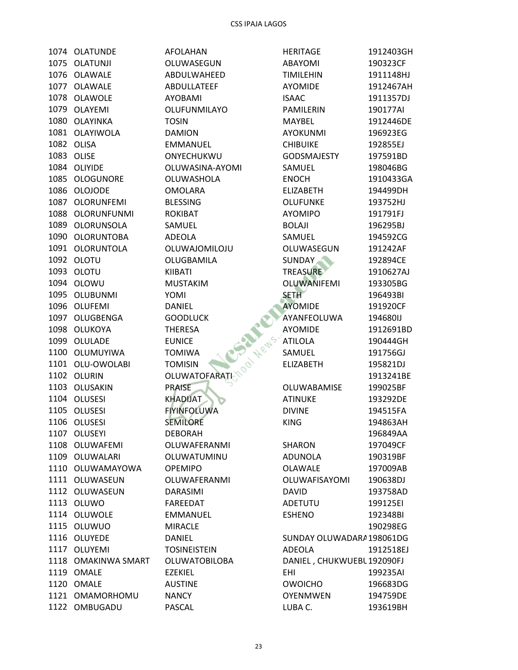1074 OLATUNDE 1075 OLATUNJI 1076 OLAWALE 1077 OLAWALE 1078 OLAWOLE 1079 OLAYEMI 1080 OLAYINKA 1081 OLAYIWOLA 1082 OLISA 1083 OLISE 1084 OLIYIDE 1085 OLOGUNORE 1086 OLOJODE 1087 OLORUNFEMI 1088 OLORUNFUNMI 1089 OLORUNSOLA 1090 OLORUNTOBA 1091 OLORUNTOLA 1092 OLOTU 1093 OLOTU 1094 OLOWU 1095 OLUBUNMI 1096 OLUFEMI 1097 OLUGBENGA 1098 OLUKOYA 1099 OLULADE 1100 OLUMUYIWA 1101 OLU-OWOLABI 1102 OLURIN 1103 OLUSAKIN 1104 OLUSESI 1105 OLUSESI 1106 OLUSESI 1107 OLUSEYI 1108 OLUWAFEMI 1109 OLUWALARI 1110 OLUWAMAYOWA 1111 OLUWASEUN 1112 OLUWASEUN 1113 OLUWO 1114 OLUWOLE 1115 OLUWUO 1116 OLUYEDE 1117 OLUYEMI 1118 OMAKINWA SMART 1119 OMALE 1120 OMALE 1121 OMAMORHOMU 1122 OMBUGADU

**AFOLAHAN** OLUWASEGUN ABDULWAHEED **ABDULLATEEF AYOBAMI** OLUFUNMILAYO **TOSIN DAMION EMMANUEL** ONYECHUKWU OLUWASINA-AYOMI OLUWASHOLA **OMOLARA BLESSING ROKIBAT** SAMUEL **ADEOLA** OLUWAJOMILOJU OLUGBAMILA KIIBATI **MUSTAKIM** YOMI **DANIEL GOODLUCK THERESA EUNICE TOMIWA TOMISIN OLUWATOFARATI PRAISE KHADIJAT FIYINFOLUWA SEMILORE DEBORAH** OLUWAFERANMI OLUWATUMINU **OPEMIPO** OLUWAFERANMI DARASIMI **FAREEDAT** EMMANUEL **MIRACLE DANIEL TOSINEISTEIN OLUWATOBILOBA EZEKIEL AUSTINE NANCY PASCAL** 

**HERITAGE** 1912403GH **ABAYOMI** 190323CF **TIMILEHIN** 1911148HJ **AYOMIDE** 1912467AH 1911357DJ **ISAAC PAMILERIN** 190177AI **MAYBEL** 1912446DE **AYOKUNMI** 196923EG **CHIBUIKE** 192855EJ **GODSMAJESTY** 197591BD SAMUEL 198046BG **ENOCH** 1910433GA **ELIZABETH** 194499DH **OLUFUNKE** 193752HJ **AYOMIPO** 191791FJ **BOLAJI** 196295BJ **SAMUEL** 194592CG 191242AF OLUWASEGUN **SUNDAY** 192894CE **TREASURE** 1910627AJ **OLUWANIFEMI** 193305BG **SETH** 196493BI **AYOMIDE** 191920CF AYANFEOLUWA 19468011 **AYOMIDE** 1912691BD **ATILOLA** 190444GH SAMUEL 191756GJ **ELIZABETH** 195821DJ 1913241BE OLUWABAMISE 199025BF **ATINUKE** 193292DE **DIVINE** 194515FA **KING** 194863AH 196849AA **SHARON** 197049CF **ADUNOLA** 190319BF **OLAWALE** 197009AB **OLUWAFISAYOMI** 190638DJ **DAVID** 193758AD 199125EI ADETUTU **ESHENO** 192348BI 190298EG SUNDAY OLUWADARA198061DG **ADEOLA** 1912518EJ DANIEL, CHUKWUEBL 192090FJ 199235AI **EHI OWOICHO** 196683DG **OYENMWEN** 194759DE LUBA C. 193619BH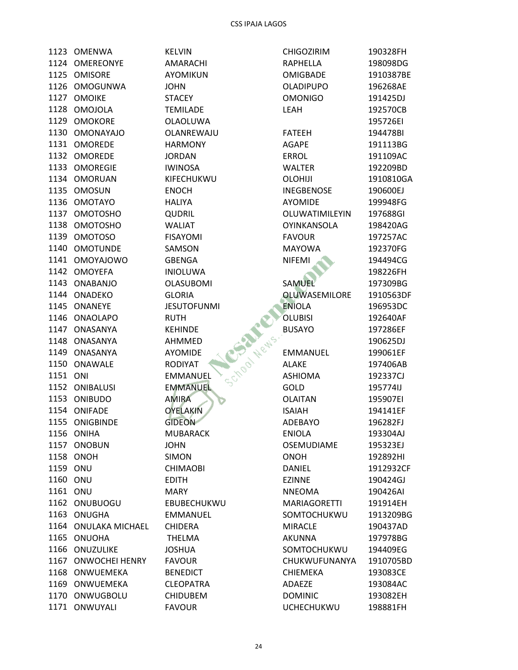|          | 1123 OMENWA            |
|----------|------------------------|
|          | 1124 OMEREONYE         |
|          | 1125 OMISORE           |
|          | 1126 OMOGUNWA          |
|          | 1127 OMOIKE            |
|          | 1128 OMOJOLA           |
|          | 1129 OMOKORE           |
|          | 1130 OMONAYAJO         |
|          | 1131 OMOREDE           |
|          | 1132 OMOREDE           |
|          | 1133 OMOREGIE          |
|          | 1134 OMORUAN           |
|          | 1135 OMOSUN            |
|          | 1136 OMOTAYO           |
|          | 1137 OMOTOSHO          |
|          | 1138 OMOTOSHO          |
|          | 1139 OMOTOSO           |
|          | 1140 OMOTUNDE          |
|          | 1141 OMOYAJOWO         |
|          | 1142 OMOYEFA           |
|          | 1143 ONABANJO          |
|          | 1144 ONADEKO           |
|          | 1145 ONANEYE           |
|          | 1146 ONAOLAPO          |
|          | 1147 ONASANYA          |
|          | 1148 ONASANYA          |
|          | 1149 ONASANYA          |
|          | 1150 ONAWALE           |
| 1151 ONI |                        |
|          | 1152 ONIBALUSI         |
|          | 1153 ONIBUDO           |
|          | 1154 ONIFADE           |
|          | 1155 ONIGBINDE         |
| 1156     | ONIHA                  |
| 1157     | ONOBUN                 |
| 1158     | ONOH                   |
| 1159 ONU |                        |
| 1160     | ONU                    |
| 1161     | ONU                    |
| 1162     | ONUBUOGU               |
| 1163     | ONUGHA                 |
| 1164     | <b>ONULAKA MICHAEL</b> |
| 1165     | <b>ONUOHA</b>          |
| 1166     | ONUZULIKE              |
| 1167     | <b>ONWOCHEI HENRY</b>  |
| 1168     | ONWUEMEKA              |
| 1169     | ONWUEMEKA              |
|          | 1170 ONWUGBOLU         |
| 1171     | ONWUYALI               |

**KELVIN** AMARACHI **AYOMIKUN JOHN STACEY** TEMILADE OLAOLUWA OLANREWAJU **HARMONY JORDAN IWINOSA** KIFECHUKWU **ENOCH HALIYA QUDRIL WALIAT FISAYOMI** SAMSON GBENGA **INIOLUWA OLASUBOMI GLORIA** School News, BL **JESUTOFUNMI RUTH KEHINDE** AHMMED **AYOMIDE RODIYAT** EMMANUEL **EMMANUEL AMIRA OYELAKIN GIDEON MUBARACK JOHN SIMON CHIMAOBI EDITH MARY** EBUBECHUKWU EMMANUEL CHIDERA **THELMA JOSHUA FAVOUR BENEDICT CLEOPATRA CHIDUBEM FAVOUR** 

| CHIGOZIRIM           | 190328FH  |
|----------------------|-----------|
| RAPHELLA             | 198098DG  |
| <b>OMIGBADE</b>      | 1910387BE |
| <b>OLADIPUPO</b>     | 196268AE  |
| <b>OMONIGO</b>       | 191425DJ  |
| LEAH                 | 192570CB  |
|                      | 195726EI  |
| <b>FATEEH</b>        | 194478BI  |
| <b>AGAPE</b>         | 191113BG  |
| ERROL                | 191109AC  |
|                      |           |
| <b>WALTER</b>        | 192209BD  |
| OLOHIJI              | 1910810GA |
| <b>INEGBENOSE</b>    | 190600EJ  |
| <b>AYOMIDE</b>       | 199948FG  |
| OLUWATIMILEYIN       | 197688GI  |
| OYINKANSOLA          | 198420AG  |
| <b>FAVOUR</b>        | 197257AC  |
| MAYOWA               | 192370FG  |
| <b>NIFEMI</b>        | 194494CG  |
|                      | 198226FH  |
| <b>SAMUEL</b>        | 197309BG  |
| <b>OLUWASEMILORE</b> | 1910563DF |
| <b>ENIOLA</b>        | 196953DC  |
| <b>OLUBISI</b>       | 192640AF  |
| <b>BUSAYO</b>        | 197286EF  |
|                      | 190625DJ  |
| <b>EMMANUEL</b>      | 199061EF  |
| <b>ALAKE</b>         | 197406AB  |
| <b>ASHIOMA</b>       | 192337CJ  |
| GOLD                 | 195774IJ  |
| <b>OLAITAN</b>       | 195907EI  |
| <b>ISAIAH</b>        | 194141EF  |
| <b>ADEBAYO</b>       | 196282FJ  |
| <b>ENIOLA</b>        | 193304AJ  |
| OSEMUDIAME           | 195323EJ  |
|                      |           |
| <b>ONOH</b>          | 192892HI  |
| DANIEL               | 1912932CF |
| <b>EZINNE</b>        | 190424GJ  |
| <b>NNEOMA</b>        | 190426AI  |
| MARIAGORETTI         | 191914EH  |
| SOMTOCHUKWU          | 1913209BG |
| MIRACLE              | 190437AD  |
| <b>AKUNNA</b>        | 197978BG  |
| SOMTOCHUKWU          | 194409EG  |
| CHUKWUFUNANYA        | 1910705BD |
| <b>CHIEMEKA</b>      | 193083CE  |
| ADAEZE               | 193084AC  |
| <b>DOMINIC</b>       | 193082EH  |
| <b>UCHECHUKWU</b>    | 198881FH  |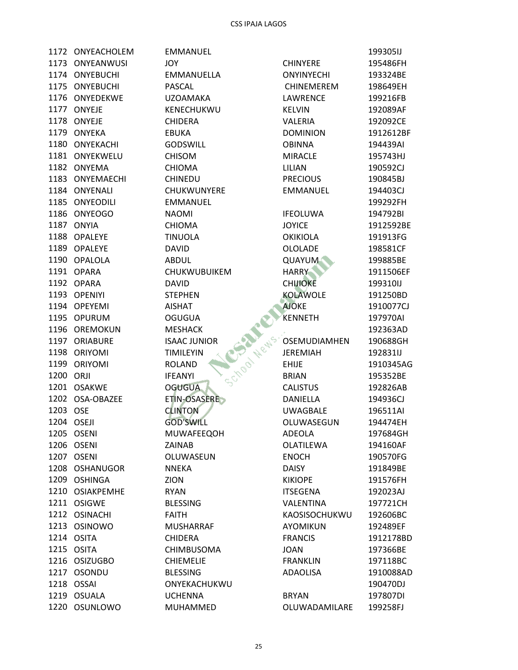|           | 1172 ONYEACHOLEM  |
|-----------|-------------------|
|           | 1173 ONYEANWUSI   |
|           | 1174 ONYEBUCHI    |
|           | 1175 ONYEBUCHI    |
|           | 1176 ONYEDEKWE    |
|           | 1177 ONYEJE       |
|           | 1178 ONYEJE       |
|           | 1179 ONYEKA       |
|           | 1180 ONYEKACHI    |
|           | 1181 ONYEKWELU    |
|           | 1182 ONYEMA       |
|           | 1183 ONYEMAECHI   |
|           | 1184 ONYENALI     |
|           | 1185 ONYEODILI    |
|           | 1186 ONYEOGO      |
|           | 1187 ONYIA        |
|           | 1188 OPALEYE      |
|           | 1189 OPALEYE      |
|           | 1190 OPALOLA      |
|           | 1191 OPARA        |
|           | 1192 OPARA        |
|           | 1193 OPENIYI      |
|           | 1194 OPEYEMI      |
|           | 1195 OPURUM       |
|           | 1196 OREMOKUN     |
|           | 1197 ORIABURE     |
|           | 1198 ORIYOMI      |
|           | 1199 ORIYOMI      |
| 1200 ORJI |                   |
|           | 1201 OSAKWE       |
|           | 1202 OSA-OBAZEE   |
| 1203 OSE  |                   |
|           | 1204 OSEJI        |
| 1205      | <b>OSENI</b>      |
|           | 1206 OSENI        |
| 1207      | <b>OSENI</b>      |
| 1208      | <b>OSHANUGOR</b>  |
| 1209      | <b>OSHINGA</b>    |
| 1210      | <b>OSIAKPEMHE</b> |
| 1211      | <b>OSIGWE</b>     |
| 1212      | <b>OSINACHI</b>   |
| 1213      | OSINOWO           |
| 1214      | <b>OSITA</b>      |
| 1215      | <b>OSITA</b>      |
| 1216      | <b>OSIZUGBO</b>   |
| 1217      | OSONDU            |
| 1218      | OSSAI             |
| 1219      | <b>OSUALA</b>     |
| 1220      | OSUNLOWO          |

EMMANUEL **JOY** EMMANUELLA PASCAL **UZOAMAKA** KENECHUKWU **CHIDERA EBUKA** GODSWILL **CHISOM CHIOMA CHINEDU** CHUKWUNYERE EMMANUEL **NAOMI CHIOMA TINUOLA DAVID ABDUL** CHUKWUBUIKEM **DAVID STEPHEN** School News, YE **AISHAT OGUGUA MESHACK ISAAC JUNIOR TIMILEYIN ROLAND IFEANYI OGUGUA** ETIN-OSASERE **CLINTON GOD'SWILL** MUWAFEEQOH ZAINAB OLUWASEUN **NNEKA** ZION **RYAN BLESSING FAITH MUSHARRAF CHIDERA** CHIMBUSOMA **CHIEMELIE BLESSING** ONYEKACHUKWU **UCHENNA** MUHAMMED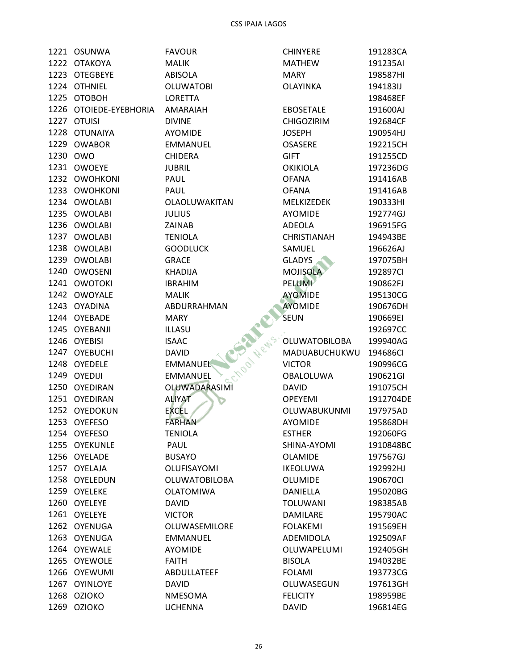|      | 1221 OSUNWA       | <b>FAVOUR</b>              | <b>CHINYERE</b>      | 191283CA  |
|------|-------------------|----------------------------|----------------------|-----------|
|      | 1222 OTAKOYA      | <b>MALIK</b>               | <b>MATHEW</b>        | 191235AI  |
|      | 1223 OTEGBEYE     | ABISOLA                    | <b>MARY</b>          | 198587HI  |
|      | 1224 OTHNIEL      | <b>OLUWATOBI</b>           | <b>OLAYINKA</b>      | 194183IJ  |
|      | 1225 OTOBOH       | <b>LORETTA</b>             |                      | 198468EF  |
| 1226 | OTOIEDE-EYEBHORIA | AMARAIAH                   | <b>EBOSETALE</b>     | 191600AJ  |
|      | 1227 OTUISI       | <b>DIVINE</b>              | <b>CHIGOZIRIM</b>    | 192684CF  |
|      | 1228 OTUNAIYA     | AYOMIDE                    | <b>JOSEPH</b>        | 190954HJ  |
|      | 1229 OWABOR       | <b>EMMANUEL</b>            | <b>OSASERE</b>       | 192215CH  |
|      | 1230 OWO          | <b>CHIDERA</b>             | <b>GIFT</b>          | 191255CD  |
|      | 1231 OWOEYE       | <b>JUBRIL</b>              | <b>OKIKIOLA</b>      | 197236DG  |
|      | 1232 OWOHKONI     | PAUL                       | <b>OFANA</b>         | 191416AB  |
|      | 1233 OWOHKONI     | PAUL                       | <b>OFANA</b>         | 191416AB  |
|      | 1234 OWOLABI      | OLAOLUWAKITAN              | MELKIZEDEK           | 190333HI  |
|      | 1235 OWOLABI      | <b>JULIUS</b>              | <b>AYOMIDE</b>       | 192774GJ  |
|      | 1236 OWOLABI      | ZAINAB                     | ADEOLA               | 196915FG  |
|      | 1237 OWOLABI      | <b>TENIOLA</b>             | <b>CHRISTIANAH</b>   | 194943BE  |
|      | 1238 OWOLABI      | <b>GOODLUCK</b>            | SAMUEL               | 196626AJ  |
|      | 1239 OWOLABI      | <b>GRACE</b>               | <b>GLADYS</b>        | 197075BH  |
| 1240 | <b>OWOSENI</b>    | <b>KHADIJA</b>             | <b>MOJISOLA</b>      | 192897CI  |
|      | 1241 OWOTOKI      | <b>IBRAHIM</b>             | <b>PELUMI</b>        | 190862FJ  |
|      | 1242 OWOYALE      | <b>MALIK</b>               | <b>AYOMIDE</b>       | 195130CG  |
|      | 1243 OYADINA      | ABDURRAHMAN                | <b>AYOMIDE</b>       | 190676DH  |
|      | 1244 OYEBADE      | <b>MARY</b>                | <b>SEUN</b>          | 190669EI  |
|      | 1245 OYEBANJI     | ILLASU                     |                      | 192697CC  |
|      | 1246 OYEBISI      | Chool News<br><b>ISAAC</b> | <b>OLUWATOBILOBA</b> | 199940AG  |
| 1247 | <b>OYEBUCHI</b>   | <b>DAVID</b>               | MADUABUCHUKWU        | 194686CI  |
|      | 1248 OYEDELE      | <b>EMMANUEL</b>            | <b>VICTOR</b>        | 190996CG  |
|      | 1249 OYEDIJI      | <b>EMMANUEL</b>            | <b>OBALOLUWA</b>     | 190621GI  |
|      | 1250 OYEDIRAN     | OLUWADARASIMI              | <b>DAVID</b>         | 191075CH  |
|      | 1251 OYEDIRAN     | <b>ALIYAT</b>              | <b>OPEYEMI</b>       | 1912704DE |
|      | 1252 OYEDOKUN     | <b>EXCEL</b>               | OLUWABUKUNMI         | 197975AD  |
|      | 1253 OYEFESO      | <b>FARHAN</b>              | <b>AYOMIDE</b>       | 195868DH  |
|      | 1254 OYEFESO      | <b>TENIOLA</b>             | <b>ESTHER</b>        | 192060FG  |
|      | 1255 OYEKUNLE     | PAUL                       | SHINA-AYOMI          | 1910848BC |
|      | 1256 OYELADE      | <b>BUSAYO</b>              | <b>OLAMIDE</b>       | 197567GJ  |
|      | 1257 OYELAJA      | OLUFISAYOMI                | <b>IKEOLUWA</b>      | 192992HJ  |
|      | 1258 OYELEDUN     | <b>OLUWATOBILOBA</b>       | <b>OLUMIDE</b>       | 190670Cl  |
|      | 1259 OYELEKE      | <b>OLATOMIWA</b>           | DANIELLA             | 195020BG  |
|      | 1260 OYELEYE      | <b>DAVID</b>               | <b>TOLUWANI</b>      | 198385AB  |
|      | 1261 OYELEYE      | <b>VICTOR</b>              | <b>DAMILARE</b>      | 195790AC  |
|      | 1262 OYENUGA      | OLUWASEMILORE              | <b>FOLAKEMI</b>      | 191569EH  |
|      | 1263 OYENUGA      | EMMANUEL                   | ADEMIDOLA            | 192509AF  |
|      | 1264 OYEWALE      | <b>AYOMIDE</b>             | OLUWAPELUMI          | 192405GH  |
| 1265 | <b>OYEWOLE</b>    | <b>FAITH</b>               | <b>BISOLA</b>        | 194032BE  |
|      | 1266 OYEWUMI      | ABDULLATEEF                | <b>FOLAMI</b>        | 193773CG  |
|      | 1267 OYINLOYE     | <b>DAVID</b>               | OLUWASEGUN           | 197613GH  |
|      | 1268 OZIOKO       | <b>NMESOMA</b>             | <b>FELICITY</b>      | 198959BE  |
| 1269 | <b>OZIOKO</b>     | <b>UCHENNA</b>             | <b>DAVID</b>         | 196814EG  |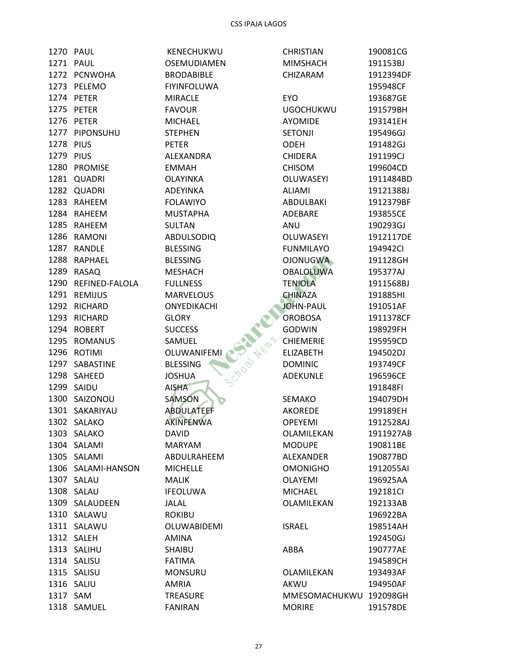|           | 1270 PAUL           | KENECHUKWU                  | <b>CHRISTIAN</b>       | 190081CG  |
|-----------|---------------------|-----------------------------|------------------------|-----------|
|           | 1271 PAUL           | <b>OSEMUDIAMEN</b>          | <b>MIMSHACH</b>        | 191153BJ  |
|           | 1272 PCNWOHA        | <b>BRODABIBLE</b>           | CHIZARAM               | 1912394DF |
|           | 1273 PELEMO         | <b>FIYINFOLUWA</b>          |                        | 195948CF  |
|           | 1274 PETER          | <b>MIRACLE</b>              | EYO                    | 193687GE  |
|           | 1275 PETER          | <b>FAVOUR</b>               | <b>UGOCHUKWU</b>       | 191579BH  |
|           | 1276 PETER          | <b>MICHAEL</b>              | <b>AYOMIDE</b>         | 193141EH  |
|           | 1277 PIPONSUHU      | <b>STEPHEN</b>              | <b>SETONJI</b>         | 195496GJ  |
| 1278 PIUS |                     | <b>PETER</b>                | <b>ODEH</b>            | 191482GJ  |
| 1279 PIUS |                     | ALEXANDRA                   | <b>CHIDERA</b>         | 191199CJ  |
|           | 1280 PROMISE        | <b>EMMAH</b>                | <b>CHISOM</b>          | 199604CD  |
|           | 1281 QUADRI         | <b>OLAYINKA</b>             | OLUWASEYI              | 1911484BD |
|           | 1282 QUADRI         | <b>ADEYINKA</b>             | <b>ALIAMI</b>          | 1912138BJ |
|           | 1283 RAHEEM         | <b>FOLAWIYO</b>             | ABDULBAKI              | 1912379BF |
|           | 1284 RAHEEM         | <b>MUSTAPHA</b>             | ADEBARE                | 193855CE  |
|           | 1285 RAHEEM         | <b>SULTAN</b>               | ANU                    | 190293GJ  |
|           | 1286 RAMONI         | <b>ABDULSODIQ</b>           | <b>OLUWASEYI</b>       | 1912117DE |
|           | 1287 RANDLE         | <b>BLESSING</b>             | <b>FUNMILAYO</b>       | 194942Cl  |
|           | 1288 RAPHAEL        | <b>BLESSING</b>             | <b>OJONUGWA</b>        | 191128GH  |
|           | 1289 RASAQ          | <b>MESHACH</b>              | <b>OBALOLUWA</b>       | 195377AJ  |
|           | 1290 REFINED-FALOLA | <b>FULLNESS</b>             | <b>TENIOLA</b>         | 1911568BJ |
|           | 1291 REMIJUS        | <b>MARVELOUS</b>            | <b>CHINAZA</b>         | 191885HI  |
|           | 1292 RICHARD        | ONYEDIKACHI                 | <b>JOHN-PAUL</b>       | 191051AF  |
|           | 1293 RICHARD        | <b>GLORY</b>                | <b>OROBOSA</b>         | 1911378CF |
|           | 1294 ROBERT         | <b>SUCCESS</b>              | <b>GODWIN</b>          | 198929FH  |
|           | 1295 ROMANUS        | SAMUEL                      | <b>CHIEMERIE</b>       | 195959CD  |
|           | 1296 ROTIMI         | School News.<br>OLUWANIFEMI | <b>ELIZABETH</b>       | 194502DJ  |
|           | 1297 SABASTINE      | <b>BLESSING</b>             | <b>DOMINIC</b>         | 193749CF  |
|           | 1298 SAHEED         | <b>JOSHUA</b>               | <b>ADEKUNLE</b>        | 196596CE  |
|           | 1299 SAIDU          | <b>AISHA</b>                |                        | 191848FI  |
|           | 1300 SAIZONOU       | <b>SAMSON</b>               | SEMAKO                 | 194079DH  |
|           | 1301 SAKARIYAU      | <b>ABDULATEEF</b>           | <b>AKOREDE</b>         | 199189EH  |
|           | 1302 SALAKO         | AKINFENWA                   | <b>OPEYEMI</b>         | 1912528AJ |
|           | 1303 SALAKO         | <b>DAVID</b>                | OLAMILEKAN             | 1911927AB |
|           | 1304 SALAMI         | <b>MARYAM</b>               | <b>MODUPE</b>          | 190811BE  |
|           | 1305 SALAMI         | ABDULRAHEEM                 | <b>ALEXANDER</b>       | 190877BD  |
|           | 1306 SALAMI-HANSON  | <b>MICHELLE</b>             | <b>OMONIGHO</b>        | 1912055AI |
|           | 1307 SALAU          | MALIK                       | <b>OLAYEMI</b>         | 196925AA  |
|           | 1308 SALAU          | <b>IFEOLUWA</b>             | <b>MICHAEL</b>         | 192181Cl  |
|           | 1309 SALAUDEEN      | <b>JALAL</b>                | OLAMILEKAN             | 192133AB  |
|           | 1310 SALAWU         | <b>ROKIBU</b>               |                        | 196922BA  |
|           | 1311 SALAWU         | OLUWABIDEMI                 | <b>ISRAEL</b>          | 198514AH  |
|           | 1312 SALEH          | <b>AMINA</b>                |                        | 192450GJ  |
|           | 1313 SALIHU         | SHAIBU                      | ABBA                   | 190777AE  |
|           | 1314 SALISU         | <b>FATIMA</b>               |                        | 194589CH  |
|           | 1315 SALISU         | <b>MONSURU</b>              | OLAMILEKAN             | 193493AF  |
|           | 1316 SALIU          | AMRIA                       | AKWU                   | 194950AF  |
| 1317 SAM  |                     | <b>TREASURE</b>             | MMESOMACHUKWU 192098GH |           |
|           | 1318 SAMUEL         | <b>FANIRAN</b>              | <b>MORIRE</b>          | 191578DE  |
|           |                     |                             |                        |           |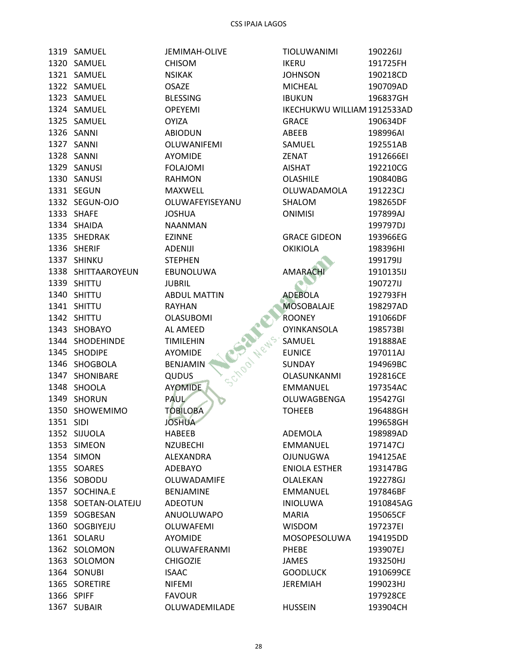1319 SAMUEL 1320 SAMUEL 1321 SAMUEL 1322 SAMUEL 1323 SAMUEL 1324 SAMUEL 1325 SAMUEL 1326 SANNI 1327 SANNI 1328 SANNI 1329 SANUSI 1330 SANUSI 1331 SEGUN 1332 SEGUN-OJO 1333 SHAFE 1334 SHAIDA 1335 SHEDRAK 1336 SHERIF 1337 SHINKU 1338 SHITTAAROYEUN 1339 SHITTU 1340 SHITTU 1341 SHITTU 1342 SHITTU 1343 SHOBAYO 1344 SHODEHINDE 1345 SHODIPE 1346 SHOGBOLA 1347 SHONIBARE 1348 SHOOLA 1349 SHORUN 1350 SHOWEMIMO 1351 SIDI 1352 SIJUOLA 1353 SIMEON 1354 SIMON 1355 SOARES 1356 SOBODU 1357 SOCHINA.E 1358 SOETAN-OLATEJU 1359 SOGBESAN 1360 SOGBIYEJU 1361 SOLARU 1362 SOLOMON 1363 SOLOMON 1364 SONUBI 1365 SORETIRE 1366 SPIFF 1367 SUBAIR

JEMIMAH-OLIVE **CHISOM NSIKAK OSAZE BLESSING OPEYEMI OYIZA ABIODUN** OLUWANIFEMI **AYOMIDE FOLAJOMI RAHMON MAXWELL** OLUWAFEYISEYANU **JOSHUA NAANMAN EZINNE ADENIJI STEPHEN** EBUNOLUWA **JUBRIL ABDUL MATTIN RAYHAN OLASUBOMI** Shoot Wews. AL AMEED **TIMILEHIN AYOMIDE BENJAMIN OUDUS AYOMIDE PAUL TOBILOBA JOSHUA HABEEB NZUBECHI** ALEXANDRA ADEBAYO OLUWADAMIFE **BENJAMINE ADEOTUN** ANUOLUWAPO OLUWAFEMI AYOMIDE OLUWAFERANMI **CHIGOZIE ISAAC NIFEMI FAVOUR** OLUWADEMILADE

| TIOLUWANIMI                     | 190226IJ              |
|---------------------------------|-----------------------|
| IKERU                           | 191725FH              |
| <b>JOHNSON</b>                  | 190218CD              |
| MICHEAL                         | 190709AD              |
| <b>IBUKUN</b>                   | 196837GH              |
| IKECHUKWU WILLIAM 1912533AD     |                       |
| <b>GRACE</b>                    | 190634DF              |
| ABEEB                           | 198996AI              |
| SAMUEL                          | 192551AB              |
| <b>ZENAT</b>                    | 1912666EI             |
| AISHAT                          | 192210CG              |
| OLASHILE                        | 190840BG              |
| OLUWADAMOLA                     | 191223CJ              |
| SHALOM                          | 198265DF              |
| <b>ONIMISI</b>                  | 197899AJ              |
|                                 | 199797DJ              |
| <b>GRACE GIDEON</b>             | 193966EG              |
| <b>OKIKIOLA</b>                 | 198396HI              |
|                                 | 199179IJ              |
| <b>AMARACHI</b>                 | 1910135IJ             |
|                                 | 190727IJ              |
| <b>ADEBOLA</b>                  | 192793FH              |
| MOSOBALAJE                      | 198297AD              |
| ROONEY                          | 191066DF              |
| OYINKANSOLA                     | 198573BI              |
| SAMUEL                          | 191888AE              |
| <b>EUNICE</b>                   | 197011AJ              |
| SUNDAY                          | 194969BC              |
| OLASUNKANMI                     | 192816CE              |
| <b>EMMANUEL</b>                 | 197354AC              |
| OLUWAGBENGA                     | 195427GI              |
| <b>TOHEEB</b>                   | 196488GH              |
|                                 | 199658GH              |
| <b>ADEMOLA</b>                  | 198989AD              |
| <b>EMMANUEL</b>                 | 197147CJ              |
| OJUNUGWA                        | 194125AE              |
| <b>ENIOLA ESTHER</b>            | 193147BG              |
| <b>OLALEKAN</b>                 | 192278GJ              |
|                                 |                       |
| <b>EMMANUEL</b>                 | 197846BF              |
| <b>INIOLUWA</b><br><b>MARIA</b> | 1910845AG<br>195065CF |
|                                 |                       |
| <b>WISDOM</b>                   | 197237EI              |
| MOSOPESOLUWA                    | 194195DD              |
| <b>PHEBE</b>                    | 193907EJ              |
| <b>JAMES</b>                    | 193250HJ              |
| <b>GOODLUCK</b>                 | 1910699CE             |
| <b>JEREMIAH</b>                 | 199023HJ              |
|                                 | 197928CE              |
| <b>HUSSEIN</b>                  | 193904CH              |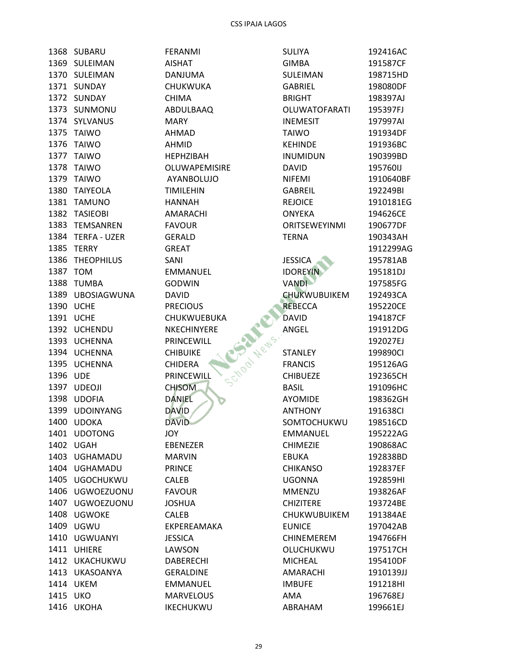1368 SUBARU 1369 SULEIMAN 1370 SULEIMAN 1371 SUNDAY 1372 SUNDAY 1373 SUNMONU 1374 SYLVANUS 1375 TAIWO 1376 TAIWO 1377 TAIWO 1378 TAIWO 1379 TAIWO 1380 TAIYEOLA 1381 TAMUNO 1382 TASIEOBI 1383 TEMSANREN 1384 TERFA - UZER 1385 TERRY 1386 THEOPHILUS 1387 TOM 1388 TUMBA 1389 UBOSIAGWUNA 1390 UCHE 1391 UCHE 1392 UCHENDU 1393 UCHENNA 1394 UCHENNA 1395 UCHENNA 1396 UDE 1397 UDEOJI 1398 UDOFIA 1399 UDOINYANG 1400 UDOKA 1401 UDOTONG 1402 UGAH 1403 UGHAMADU 1404 UGHAMADU 1405 UGOCHUKWU 1406 UGWOEZUONU 1407 UGWOEZUONU 1408 UGWOKE 1409 UGWU 1410 UGWUANYI 1411 UHIERE 1412 UKACHUKWU 1413 UKASOANYA 1414 UKEM 1415 UKO 1416 UKOHA

**FERANMI AISHAT DANJUMA** CHUKWUKA **CHIMA** ABDULBAAQ **MARY AHMAD AHMID HEPHZIBAH** OLUWAPEMISIRE AYANBOLUJO **TIMILEHIN HANNAH** AMARACHI **FAVOUR GERALD GREAT** SANI **EMMANUEL GODWIN DAVID PRECIOUS** CHUKWUEBUKA NKECHINYERE PRINCEWILL **CHIBUIKE CHIDERA** PRINCEWILL **CHISOM DANIEL DAVID DAVID JOY EBENEZER MARVIN PRINCE CALEB FAVOUR JOSHUA CALEB** EKPEREAMAKA **JESSICA** LAWSON **DABERECHI GERALDINE EMMANUEL MARVELOUS IKECHUKWU** 

| <b>SULIYA</b>        | 192416AC             |
|----------------------|----------------------|
| <b>GIMBA</b>         | 191587CF             |
| SULEIMAN             | 198715HD             |
| <b>GABRIEL</b>       | 198080DF             |
| <b>BRIGHT</b>        | 198397AJ             |
| <b>OLUWATOFARATI</b> | 195397FJ             |
| INEMESIT             | 197997AI             |
| TAIWO                | 191934DF             |
| <b>KEHINDE</b>       | 191936BC             |
| <b>INUMIDUN</b>      | 190399BD             |
| <b>DAVID</b>         | 195760IJ             |
| NIFEMI               | 1910640BF            |
| <b>GABREIL</b>       | 192249BI             |
| <b>REJOICE</b>       | 1910181EG            |
| <b>ONYEKA</b>        | 194626CE             |
| <b>ORITSEWEYINMI</b> | 190677DF             |
| <b>TERNA</b>         | 190343AH             |
|                      | 1912299AG            |
| <b>JESSICA</b>       | 195781AB             |
| <b>IDOREYIN</b>      | 195181DJ             |
| <b>VANDI</b>         |                      |
|                      | 197585FG<br>192493CA |
| <b>CHUKWUBUIKEM</b>  |                      |
| <b>REBECCA</b>       | 195220CE             |
| <b>DAVID</b>         | 194187CF             |
| ANGEL                | 191912DG             |
|                      | 192027EJ             |
| <b>STANLEY</b>       | 199890CI             |
| <b>FRANCIS</b>       | 195126AG             |
| <b>CHIBUEZE</b>      | 192365CH             |
| BASIL                | 191096HC             |
| <b>AYOMIDE</b>       | 198362GH             |
| <b>ANTHONY</b>       | 191638CI             |
| SOMTOCHUKWU          | 198516CD             |
| <b>EMMANUEL</b>      | 195222AG             |
| <b>CHIMEZIE</b>      | 190868AC             |
| EBUKA                | 192838BD             |
| <b>CHIKANSO</b>      | 192837EF             |
| <b>UGONNA</b>        | 192859HI             |
| <b>MMENZU</b>        | 193826AF             |
| <b>CHIZITERE</b>     | 193724BE             |
| CHUKWUBUIKEM         | 191384AE             |
| <b>EUNICE</b>        | 197042AB             |
| <b>CHINEMEREM</b>    | 194766FH             |
| OLUCHUKWU            | 197517CH             |
| <b>MICHEAL</b>       | 195410DF             |
| <b>AMARACHI</b>      | 1910139JJ            |
| <b>IMBUFE</b>        | 191218HI             |
| AMA                  | 196768EJ             |
| ABRAHAM              | 199661EJ             |